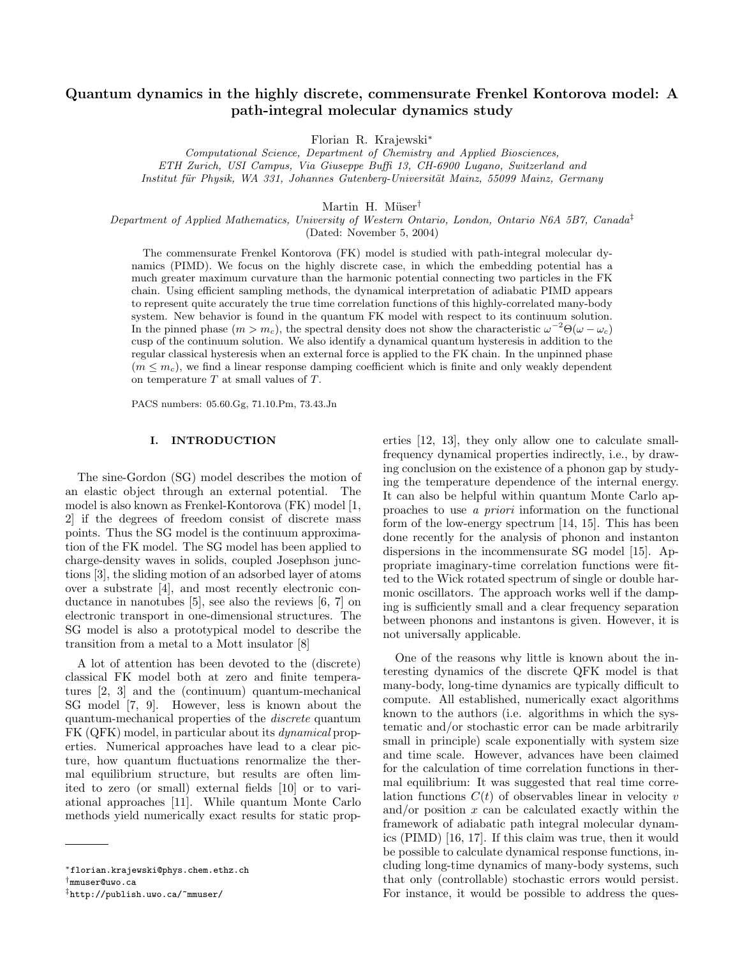# Quantum dynamics in the highly discrete, commensurate Frenkel Kontorova model: A path-integral molecular dynamics study

Florian R. Krajewski<sup>∗</sup>

Computational Science, Department of Chemistry and Applied Biosciences, ETH Zurich, USI Campus, Via Giuseppe Buffi 13, CH-6900 Lugano, Switzerland and Institut für Physik, WA 331, Johannes Gutenberg-Universität Mainz, 55099 Mainz, Germany

Martin H. Müser<sup>†</sup>

Department of Applied Mathematics, University of Western Ontario, London, Ontario N6A 5B7, Canada<sup>†</sup> (Dated: November 5, 2004)

The commensurate Frenkel Kontorova (FK) model is studied with path-integral molecular dynamics (PIMD). We focus on the highly discrete case, in which the embedding potential has a much greater maximum curvature than the harmonic potential connecting two particles in the FK chain. Using efficient sampling methods, the dynamical interpretation of adiabatic PIMD appears to represent quite accurately the true time correlation functions of this highly-correlated many-body system. New behavior is found in the quantum FK model with respect to its continuum solution. In the pinned phase  $(m > m_c)$ , the spectral density does not show the characteristic  $\omega^{-2}\Theta(\omega - \omega_c)$ cusp of the continuum solution. We also identify a dynamical quantum hysteresis in addition to the regular classical hysteresis when an external force is applied to the FK chain. In the unpinned phase  $(m \leq m_c)$ , we find a linear response damping coefficient which is finite and only weakly dependent on temperature  $T$  at small values of  $T$ .

PACS numbers: 05.60.Gg, 71.10.Pm, 73.43.Jn

### I. INTRODUCTION

The sine-Gordon (SG) model describes the motion of an elastic object through an external potential. The model is also known as Frenkel-Kontorova (FK) model [1, 2] if the degrees of freedom consist of discrete mass points. Thus the SG model is the continuum approximation of the FK model. The SG model has been applied to charge-density waves in solids, coupled Josephson junctions [3], the sliding motion of an adsorbed layer of atoms over a substrate [4], and most recently electronic conductance in nanotubes [5], see also the reviews [6, 7] on electronic transport in one-dimensional structures. The SG model is also a prototypical model to describe the transition from a metal to a Mott insulator [8]

A lot of attention has been devoted to the (discrete) classical FK model both at zero and finite temperatures [2, 3] and the (continuum) quantum-mechanical SG model [7, 9]. However, less is known about the quantum-mechanical properties of the discrete quantum FK (QFK) model, in particular about its dynamical properties. Numerical approaches have lead to a clear picture, how quantum fluctuations renormalize the thermal equilibrium structure, but results are often limited to zero (or small) external fields [10] or to variational approaches [11]. While quantum Monte Carlo methods yield numerically exact results for static properties [12, 13], they only allow one to calculate smallfrequency dynamical properties indirectly, i.e., by drawing conclusion on the existence of a phonon gap by studying the temperature dependence of the internal energy. It can also be helpful within quantum Monte Carlo approaches to use a priori information on the functional form of the low-energy spectrum [14, 15]. This has been done recently for the analysis of phonon and instanton dispersions in the incommensurate SG model [15]. Appropriate imaginary-time correlation functions were fitted to the Wick rotated spectrum of single or double harmonic oscillators. The approach works well if the damping is sufficiently small and a clear frequency separation between phonons and instantons is given. However, it is not universally applicable.

One of the reasons why little is known about the interesting dynamics of the discrete QFK model is that many-body, long-time dynamics are typically difficult to compute. All established, numerically exact algorithms known to the authors (i.e. algorithms in which the systematic and/or stochastic error can be made arbitrarily small in principle) scale exponentially with system size and time scale. However, advances have been claimed for the calculation of time correlation functions in thermal equilibrium: It was suggested that real time correlation functions  $C(t)$  of observables linear in velocity v and/or position  $x$  can be calculated exactly within the framework of adiabatic path integral molecular dynamics (PIMD) [16, 17]. If this claim was true, then it would be possible to calculate dynamical response functions, including long-time dynamics of many-body systems, such that only (controllable) stochastic errors would persist. For instance, it would be possible to address the ques-

<sup>∗</sup>florian.krajewski@phys.chem.ethz.ch

<sup>†</sup>mmuser@uwo.ca

<sup>‡</sup>http://publish.uwo.ca/~mmuser/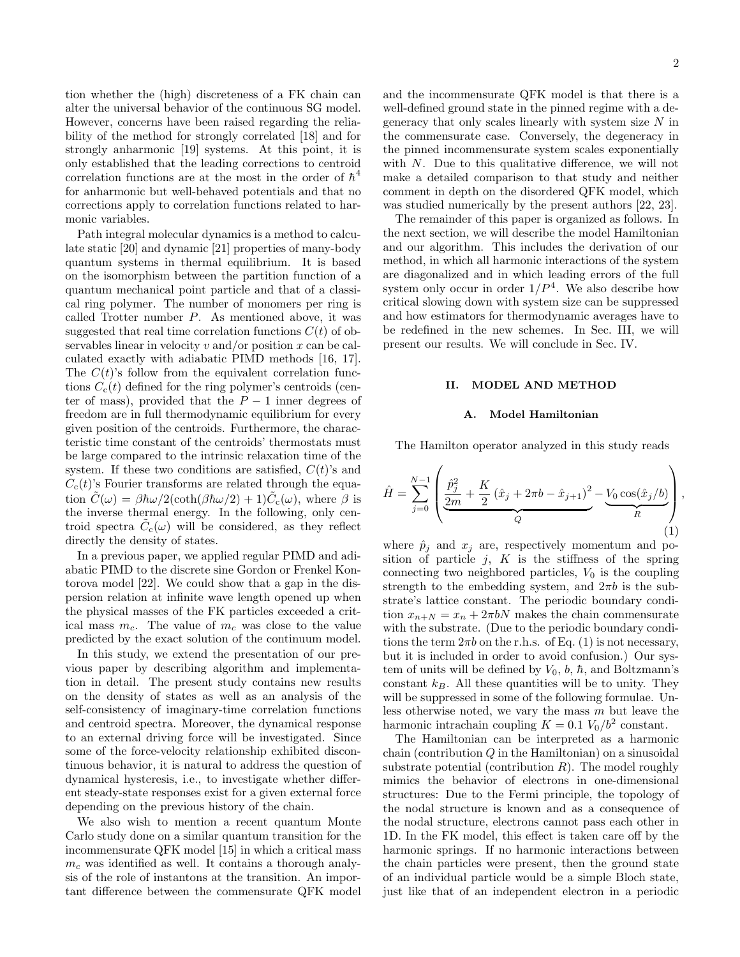tion whether the (high) discreteness of a FK chain can alter the universal behavior of the continuous SG model. However, concerns have been raised regarding the reliability of the method for strongly correlated [18] and for strongly anharmonic [19] systems. At this point, it is only established that the leading corrections to centroid correlation functions are at the most in the order of  $\hbar^4$ for anharmonic but well-behaved potentials and that no corrections apply to correlation functions related to harmonic variables.

Path integral molecular dynamics is a method to calculate static [20] and dynamic [21] properties of many-body quantum systems in thermal equilibrium. It is based on the isomorphism between the partition function of a quantum mechanical point particle and that of a classical ring polymer. The number of monomers per ring is called Trotter number P. As mentioned above, it was suggested that real time correlation functions  $C(t)$  of observables linear in velocity  $v$  and/or position  $x$  can be calculated exactly with adiabatic PIMD methods [16, 17]. The  $C(t)$ 's follow from the equivalent correlation functions  $C_{c}(t)$  defined for the ring polymer's centroids (center of mass), provided that the  $P-1$  inner degrees of freedom are in full thermodynamic equilibrium for every given position of the centroids. Furthermore, the characteristic time constant of the centroids' thermostats must be large compared to the intrinsic relaxation time of the system. If these two conditions are satisfied,  $C(t)$ 's and  $C_{c}(t)$ 's Fourier transforms are related through the equation  $\tilde{C}(\omega) = \beta \hbar \omega / 2(\coth(\beta \hbar \omega/2) + 1) \tilde{C}_{c}(\omega)$ , where  $\beta$  is the inverse thermal energy. In the following, only centroid spectra  $\tilde{C}_{c}(\omega)$  will be considered, as they reflect directly the density of states.

In a previous paper, we applied regular PIMD and adiabatic PIMD to the discrete sine Gordon or Frenkel Kontorova model [22]. We could show that a gap in the dispersion relation at infinite wave length opened up when the physical masses of the FK particles exceeded a critical mass  $m_c$ . The value of  $m_c$  was close to the value predicted by the exact solution of the continuum model.

In this study, we extend the presentation of our previous paper by describing algorithm and implementation in detail. The present study contains new results on the density of states as well as an analysis of the self-consistency of imaginary-time correlation functions and centroid spectra. Moreover, the dynamical response to an external driving force will be investigated. Since some of the force-velocity relationship exhibited discontinuous behavior, it is natural to address the question of dynamical hysteresis, i.e., to investigate whether different steady-state responses exist for a given external force depending on the previous history of the chain.

We also wish to mention a recent quantum Monte Carlo study done on a similar quantum transition for the incommensurate QFK model [15] in which a critical mass  $m<sub>c</sub>$  was identified as well. It contains a thorough analysis of the role of instantons at the transition. An important difference between the commensurate QFK model

and the incommensurate QFK model is that there is a well-defined ground state in the pinned regime with a degeneracy that only scales linearly with system size  $N$  in the commensurate case. Conversely, the degeneracy in the pinned incommensurate system scales exponentially with N. Due to this qualitative difference, we will not make a detailed comparison to that study and neither comment in depth on the disordered QFK model, which was studied numerically by the present authors [22, 23].

The remainder of this paper is organized as follows. In the next section, we will describe the model Hamiltonian and our algorithm. This includes the derivation of our method, in which all harmonic interactions of the system are diagonalized and in which leading errors of the full system only occur in order  $1/P<sup>4</sup>$ . We also describe how critical slowing down with system size can be suppressed and how estimators for thermodynamic averages have to be redefined in the new schemes. In Sec. III, we will present our results. We will conclude in Sec. IV.

# II. MODEL AND METHOD

#### A. Model Hamiltonian

The Hamilton operator analyzed in this study reads

$$
\hat{H} = \sum_{j=0}^{N-1} \left( \underbrace{\frac{\hat{p}_j^2}{2m} + \frac{K}{2} (\hat{x}_j + 2\pi b - \hat{x}_{j+1})^2}_{Q} - \underbrace{V_0 \cos(\hat{x}_j/b)}_{R} \right),\tag{1}
$$

where  $\hat{p}_j$  and  $x_j$  are, respectively momentum and position of particle  $j$ ,  $K$  is the stiffness of the spring connecting two neighbored particles,  $V_0$  is the coupling strength to the embedding system, and  $2\pi b$  is the substrate's lattice constant. The periodic boundary condition  $x_{n+N} = x_n + 2\pi bN$  makes the chain commensurate with the substrate. (Due to the periodic boundary conditions the term  $2\pi b$  on the r.h.s. of Eq. (1) is not necessary, but it is included in order to avoid confusion.) Our system of units will be defined by  $V_0$ ,  $b$ ,  $\hbar$ , and Boltzmann's constant  $k_B$ . All these quantities will be to unity. They will be suppressed in some of the following formulae. Unless otherwise noted, we vary the mass  $m$  but leave the harmonic intrachain coupling  $K = 0.1 V_0/b^2$  constant.

The Hamiltonian can be interpreted as a harmonic chain (contribution  $Q$  in the Hamiltonian) on a sinusoidal substrate potential (contribution  $R$ ). The model roughly mimics the behavior of electrons in one-dimensional structures: Due to the Fermi principle, the topology of the nodal structure is known and as a consequence of the nodal structure, electrons cannot pass each other in 1D. In the FK model, this effect is taken care off by the harmonic springs. If no harmonic interactions between the chain particles were present, then the ground state of an individual particle would be a simple Bloch state, just like that of an independent electron in a periodic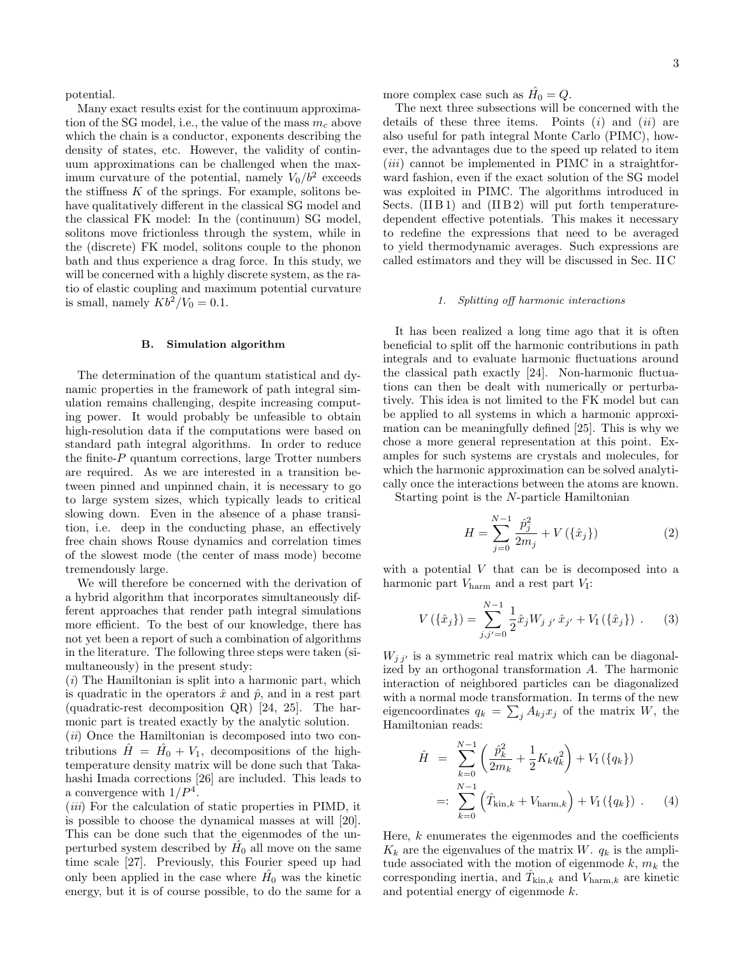potential.

Many exact results exist for the continuum approximation of the SG model, i.e., the value of the mass  $m_c$  above which the chain is a conductor, exponents describing the density of states, etc. However, the validity of continuum approximations can be challenged when the maximum curvature of the potential, namely  $V_0/b^2$  exceeds the stiffness  $K$  of the springs. For example, solitons behave qualitatively different in the classical SG model and the classical FK model: In the (continuum) SG model, solitons move frictionless through the system, while in the (discrete) FK model, solitons couple to the phonon bath and thus experience a drag force. In this study, we will be concerned with a highly discrete system, as the ratio of elastic coupling and maximum potential curvature is small, namely  $Kb^2/V_0 = 0.1$ .

# B. Simulation algorithm

The determination of the quantum statistical and dynamic properties in the framework of path integral simulation remains challenging, despite increasing computing power. It would probably be unfeasible to obtain high-resolution data if the computations were based on standard path integral algorithms. In order to reduce the finite- $P$  quantum corrections, large Trotter numbers are required. As we are interested in a transition between pinned and unpinned chain, it is necessary to go to large system sizes, which typically leads to critical slowing down. Even in the absence of a phase transition, i.e. deep in the conducting phase, an effectively free chain shows Rouse dynamics and correlation times of the slowest mode (the center of mass mode) become tremendously large.

We will therefore be concerned with the derivation of a hybrid algorithm that incorporates simultaneously different approaches that render path integral simulations more efficient. To the best of our knowledge, there has not yet been a report of such a combination of algorithms in the literature. The following three steps were taken (simultaneously) in the present study:

 $(i)$  The Hamiltonian is split into a harmonic part, which is quadratic in the operators  $\hat{x}$  and  $\hat{p}$ , and in a rest part (quadratic-rest decomposition QR) [24, 25]. The harmonic part is treated exactly by the analytic solution.

 $(ii)$  Once the Hamiltonian is decomposed into two contributions  $\hat{H} = \hat{H}_0 + V_1$ , decompositions of the hightemperature density matrix will be done such that Takahashi Imada corrections [26] are included. This leads to a convergence with  $1/P<sup>4</sup>$ .

 $(iii)$  For the calculation of static properties in PIMD, it is possible to choose the dynamical masses at will [20]. This can be done such that the eigenmodes of the unperturbed system described by  $\hat{H}_0$  all move on the same time scale [27]. Previously, this Fourier speed up had only been applied in the case where  $\hat{H_0}$  was the kinetic energy, but it is of course possible, to do the same for a more complex case such as  $\hat{H}_0 = Q$ .

The next three subsections will be concerned with the details of these three items. Points  $(i)$  and  $(ii)$  are also useful for path integral Monte Carlo (PIMC), however, the advantages due to the speed up related to item  $(iii)$  cannot be implemented in PIMC in a straightforward fashion, even if the exact solution of the SG model was exploited in PIMC. The algorithms introduced in Sects. (IIB1) and (IIB2) will put forth temperaturedependent effective potentials. This makes it necessary to redefine the expressions that need to be averaged to yield thermodynamic averages. Such expressions are called estimators and they will be discussed in Sec. II C

# 1. Splitting off harmonic interactions

It has been realized a long time ago that it is often beneficial to split off the harmonic contributions in path integrals and to evaluate harmonic fluctuations around the classical path exactly [24]. Non-harmonic fluctuations can then be dealt with numerically or perturbatively. This idea is not limited to the FK model but can be applied to all systems in which a harmonic approximation can be meaningfully defined [25]. This is why we chose a more general representation at this point. Examples for such systems are crystals and molecules, for which the harmonic approximation can be solved analytically once the interactions between the atoms are known.

Starting point is the N-particle Hamiltonian

$$
H = \sum_{j=0}^{N-1} \frac{\hat{p}_j^2}{2m_j} + V(\{\hat{x}_j\})
$$
 (2)

with a potential  $V$  that can be is decomposed into a harmonic part  $V_{\text{harm}}$  and a rest part  $V_{\text{I}}$ :

$$
V(\{\hat{x}_j\}) = \sum_{j,j'=0}^{N-1} \frac{1}{2} \hat{x}_j W_{j\ j'} \hat{x}_{j'} + V_1(\{\hat{x}_j\}) \ . \tag{3}
$$

 $W_{j\,j'}$  is a symmetric real matrix which can be diagonalized by an orthogonal transformation A. The harmonic interaction of neighbored particles can be diagonalized with a normal mode transformation. In terms of the new eigencoordinates  $q_k = \sum_j A_{kj} x_j$  of the matrix W, the Hamiltonian reads:

$$
\hat{H} = \sum_{k=0}^{N-1} \left( \frac{\hat{p}_k^2}{2m_k} + \frac{1}{2} K_k q_k^2 \right) + V_I (\{q_k\})
$$
  
=: 
$$
\sum_{k=0}^{N-1} \left( \hat{T}_{\text{kin},k} + V_{\text{harm},k} \right) + V_I (\{q_k\})
$$
 (4)

Here,  $k$  enumerates the eigenmodes and the coefficients  $K_k$  are the eigenvalues of the matrix W.  $q_k$  is the amplitude associated with the motion of eigenmode  $k, m_k$  the corresponding inertia, and  $\hat{T}_{\text{kin},k}$  and  $\check{V}_{\text{harm},k}$  are kinetic and potential energy of eigenmode k.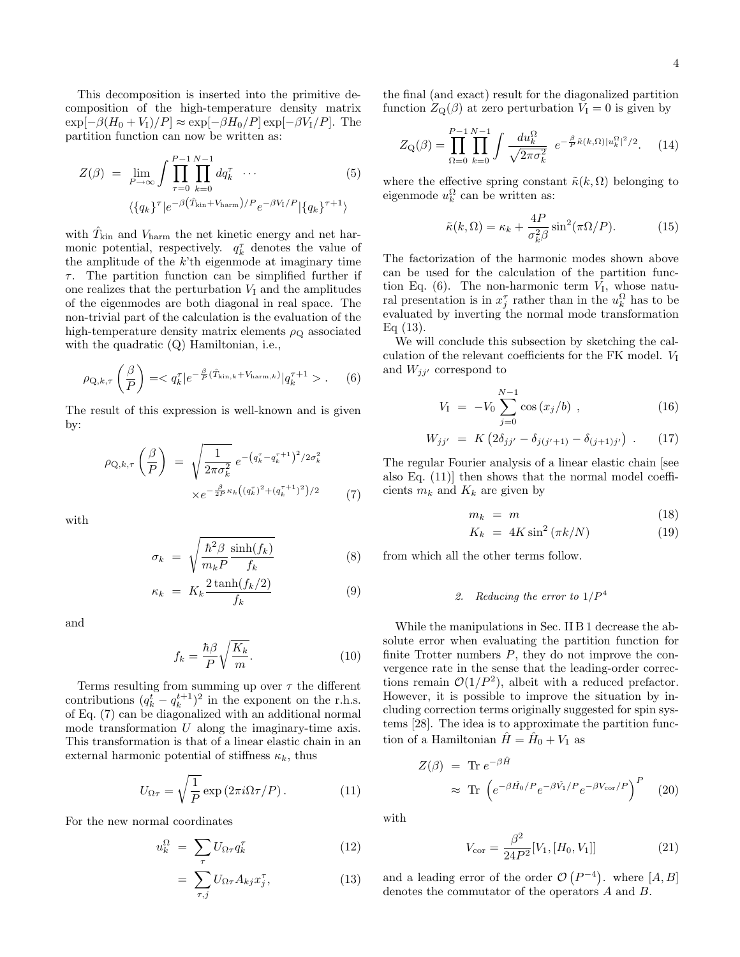This decomposition is inserted into the primitive decomposition of the high-temperature density matrix  $\exp[-\beta(H_0+V_1)/P] \approx \exp[-\beta H_0/P] \exp[-\beta V_1/P]$ . The partition function can now be written as:

$$
Z(\beta) = \lim_{P \to \infty} \int \prod_{\tau=0}^{P-1} \prod_{k=0}^{N-1} dq_k^{\tau} \cdots
$$
\n
$$
\langle \{q_k\}^{\tau} | e^{-\beta (\hat{T}_{\text{kin}} + V_{\text{harm}})/P} e^{-\beta V_1/P} | \{q_k\}^{\tau+1} \rangle
$$
\n(5)

with  $\hat{T}_{\rm kin}$  and  $V_{\rm harm}$  the net kinetic energy and net harmonic potential, respectively.  $q_k^{\tau}$  denotes the value of the amplitude of the  $k$ 'th eigenmode at imaginary time  $\tau$ . The partition function can be simplified further if one realizes that the perturbation  $V<sub>I</sub>$  and the amplitudes of the eigenmodes are both diagonal in real space. The non-trivial part of the calculation is the evaluation of the high-temperature density matrix elements  $\rho_Q$  associated with the quadratic (Q) Hamiltonian, i.e.,

$$
\rho_{\mathbf{Q},k,\tau}\left(\frac{\beta}{P}\right) = .
$$
 (6)

The result of this expression is well-known and is given by:

$$
\rho_{Q,k,\tau} \left( \frac{\beta}{P} \right) = \sqrt{\frac{1}{2\pi \sigma_k^2}} e^{-\left( q_k^{\tau} - q_k^{\tau+1} \right)^2 / 2\sigma_k^2}
$$

$$
\times e^{-\frac{\beta}{2P} \kappa_k \left( (q_k^{\tau})^2 + (q_k^{\tau+1})^2 \right) / 2} \tag{7}
$$

with

$$
\sigma_k = \sqrt{\frac{\hbar^2 \beta}{m_k P} \frac{\sinh(f_k)}{f_k}} \tag{8}
$$

$$
\kappa_k = K_k \frac{2 \tanh(f_k/2)}{f_k} \tag{9}
$$

and

$$
f_k = \frac{\hbar \beta}{P} \sqrt{\frac{K_k}{m}}.\tag{10}
$$

Terms resulting from summing up over  $\tau$  the different contributions  $(q_k^t - q_k^{t+1})^2$  in the exponent on the r.h.s. of Eq. (7) can be diagonalized with an additional normal mode transformation  $U$  along the imaginary-time axis. This transformation is that of a linear elastic chain in an external harmonic potential of stiffness  $\kappa_k$ , thus

$$
U_{\Omega \tau} = \sqrt{\frac{1}{P}} \exp(2\pi i \Omega \tau / P). \tag{11}
$$

For the new normal coordinates

$$
u_k^{\Omega} = \sum_{\tau} U_{\Omega \tau} q_k^{\tau} \tag{12}
$$

$$
= \sum_{\tau,j} U_{\Omega \tau} A_{kj} x_j^{\tau}, \qquad (13)
$$

the final (and exact) result for the diagonalized partition function  $Z_{\mathbf{Q}}(\beta)$  at zero perturbation  $V_{\mathbf{I}} = 0$  is given by

$$
Z_{\mathcal{Q}}(\beta) = \prod_{\Omega=0}^{P-1} \prod_{k=0}^{N-1} \int \frac{du_k^{\Omega}}{\sqrt{2\pi\sigma_k^2}} e^{-\frac{\beta}{P}\tilde{\kappa}(k,\Omega)|u_k^{\Omega}|^2/2}.
$$
 (14)

where the effective spring constant  $\tilde{\kappa}(k, \Omega)$  belonging to eigenmode  $u_k^{\Omega}$  can be written as:

$$
\tilde{\kappa}(k,\Omega) = \kappa_k + \frac{4P}{\sigma_k^2 \beta} \sin^2(\pi \Omega/P). \tag{15}
$$

The factorization of the harmonic modes shown above can be used for the calculation of the partition function Eq.  $(6)$ . The non-harmonic term  $V_I$ , whose natural presentation is in  $x_j^{\tau}$  rather than in the  $u_k^{\Omega}$  has to be evaluated by inverting the normal mode transformation  $Eq(13)$ .

We will conclude this subsection by sketching the calculation of the relevant coefficients for the FK model.  $V_I$ and  $W_{jj'}$  correspond to

$$
V_{I} = -V_{0} \sum_{j=0}^{N-1} \cos (x_{j}/b) , \qquad (16)
$$

$$
W_{jj'} = K \left( 2\delta_{jj'} - \delta_{j(j'+1)} - \delta_{(j+1)j'} \right) . \tag{17}
$$

The regular Fourier analysis of a linear elastic chain [see also Eq. (11)] then shows that the normal model coefficients  $m_k$  and  $K_k$  are given by

$$
m_k = m \tag{18}
$$

$$
K_k = 4K \sin^2(\pi k/N) \tag{19}
$$

from which all the other terms follow.

# 2. Reducing the error to  $1/P<sup>4</sup>$

While the manipulations in Sec. II B 1 decrease the absolute error when evaluating the partition function for finite Trotter numbers  $P$ , they do not improve the convergence rate in the sense that the leading-order corrections remain  $\mathcal{O}(1/P^2)$ , albeit with a reduced prefactor. However, it is possible to improve the situation by including correction terms originally suggested for spin systems [28]. The idea is to approximate the partition function of a Hamiltonian  $\hat{H} = \hat{H}_0 + V_1$  as

$$
Z(\beta) = \text{Tr } e^{-\beta \hat{H}}
$$
  
 
$$
\approx \text{Tr} \left( e^{-\beta \hat{H}_0/P} e^{-\beta \hat{V}_1/P} e^{-\beta V_{\text{cor}}/P} \right)^P
$$
 (20)

with

$$
V_{\text{cor}} = \frac{\beta^2}{24P^2} [V_1, [H_0, V_1]] \tag{21}
$$

and a leading error of the order  $\mathcal{O}(P^{-4})$ . where  $[A, B]$ denotes the commutator of the operators A and B.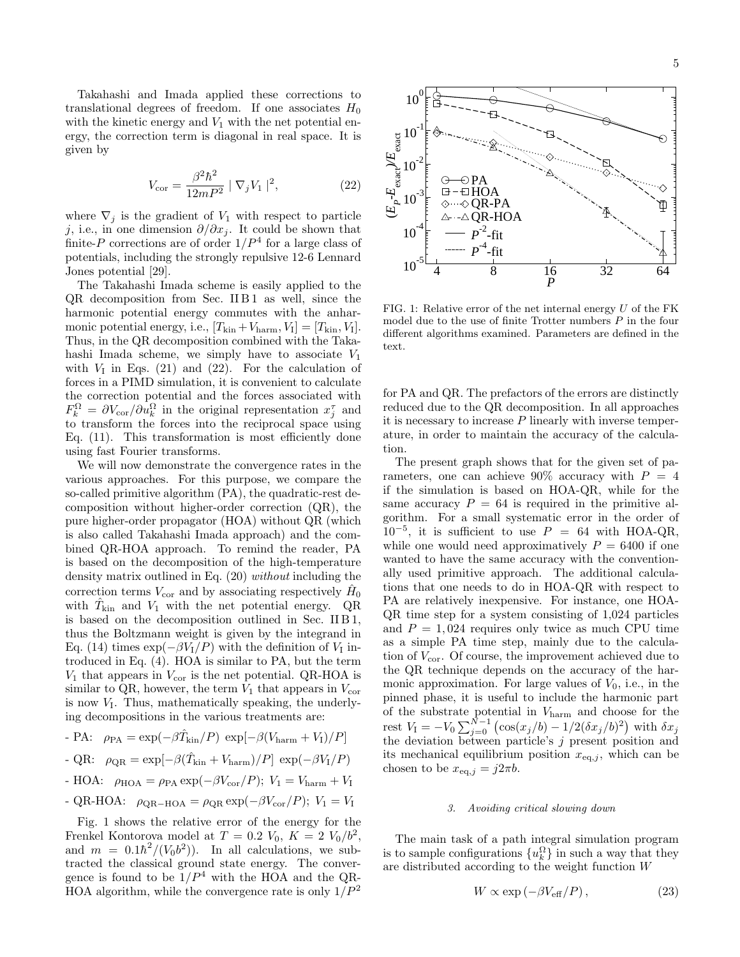Takahashi and Imada applied these corrections to translational degrees of freedom. If one associates  $H_0$ with the kinetic energy and  $V_1$  with the net potential energy, the correction term is diagonal in real space. It is given by

$$
V_{\text{cor}} = \frac{\beta^2 \hbar^2}{12mP^2} | \nabla_j V_1 |^2, \tag{22}
$$

where  $\nabla_i$  is the gradient of  $V_1$  with respect to particle j, i.e., in one dimension  $\partial/\partial x_j$ . It could be shown that finite-P corrections are of order  $1/P<sup>4</sup>$  for a large class of potentials, including the strongly repulsive 12-6 Lennard Jones potential [29].

The Takahashi Imada scheme is easily applied to the  $QR$  decomposition from Sec. II $B1$  as well, since the harmonic potential energy commutes with the anharmonic potential energy, i.e.,  $[T_{\rm kin} + V_{\rm harm}, V_I] = [T_{\rm kin}, V_I].$ Thus, in the QR decomposition combined with the Takahashi Imada scheme, we simply have to associate  $V_1$ with  $V_I$  in Eqs. (21) and (22). For the calculation of forces in a PIMD simulation, it is convenient to calculate the correction potential and the forces associated with  $F_k^{\Omega} = \partial V_{\text{cor}}/\partial u_k^{\Omega}$  in the original representation  $x_j^{\tau}$  and to transform the forces into the reciprocal space using Eq. (11). This transformation is most efficiently done using fast Fourier transforms.

We will now demonstrate the convergence rates in the various approaches. For this purpose, we compare the so-called primitive algorithm (PA), the quadratic-rest decomposition without higher-order correction (QR), the pure higher-order propagator (HOA) without QR (which is also called Takahashi Imada approach) and the combined QR-HOA approach. To remind the reader, PA is based on the decomposition of the high-temperature density matrix outlined in Eq. (20) without including the correction terms  $V_{\text{cor}}$  and by associating respectively  $\hat{H}_0$ with  $\hat{T}_{\text{kin}}$  and  $V_1$  with the net potential energy. QR is based on the decomposition outlined in Sec. II B 1, thus the Boltzmann weight is given by the integrand in Eq. (14) times  $\exp(-\beta V_I/P)$  with the definition of  $V_I$  introduced in Eq. (4). HOA is similar to PA, but the term  $V_1$  that appears in  $V_{\text{cor}}$  is the net potential. QR-HOA is similar to QR, however, the term  $V_1$  that appears in  $V_{\text{cor}}$ is now  $V_I$ . Thus, mathematically speaking, the underlying decompositions in the various treatments are:

- PA:  $\rho_{\text{PA}} = \exp(-\beta \hat{T}_{\text{kin}}/P) \exp[-\beta (V_{\text{harm}} + V_I)/P]$
- QR:  $\rho_{\text{QR}} = \exp[-\beta(\hat{T}_{\text{kin}} + V_{\text{harm}})/P] \exp(-\beta V_I/P)$
- HOA:  $\rho_{\text{HOA}} = \rho_{\text{PA}} \exp(-\beta V_{\text{cor}}/P); V_1 = V_{\text{harm}} + V_1$
- QR-HOA:  $\rho_{\text{QR-HOA}} = \rho_{\text{QR}} \exp(-\beta V_{\text{cor}}/P); V_1 = V_1$

Fig. 1 shows the relative error of the energy for the Frenkel Kontorova model at  $T = 0.2 V_0, K = 2 V_0/b^2$ , and  $m = 0.1\hbar^2/(V_0b^2)$ . In all calculations, we subtracted the classical ground state energy. The convergence is found to be  $1/P^4$  with the HOA and the QR-HOA algorithm, while the convergence rate is only  $1/P^2$ 



FIG. 1: Relative error of the net internal energy  $U$  of the FK model due to the use of finite Trotter numbers  $P$  in the four different algorithms examined. Parameters are defined in the text.

for PA and QR. The prefactors of the errors are distinctly reduced due to the QR decomposition. In all approaches it is necessary to increase  $P$  linearly with inverse temperature, in order to maintain the accuracy of the calculation.

The present graph shows that for the given set of parameters, one can achieve 90% accuracy with  $P = 4$ if the simulation is based on HOA-QR, while for the same accuracy  $P = 64$  is required in the primitive algorithm. For a small systematic error in the order of  $10^{-5}$ , it is sufficient to use  $P = 64$  with HOA-QR, while one would need approximatively  $P = 6400$  if one wanted to have the same accuracy with the conventionally used primitive approach. The additional calculations that one needs to do in HOA-QR with respect to PA are relatively inexpensive. For instance, one HOA-QR time step for a system consisting of 1,024 particles and  $P = 1,024$  requires only twice as much CPU time as a simple PA time step, mainly due to the calculation of  $V_{\text{cor}}$ . Of course, the improvement achieved due to the QR technique depends on the accuracy of the harmonic approximation. For large values of  $V_0$ , i.e., in the pinned phase, it is useful to include the harmonic part of the substrate potential in Vharm and choose for the rest  $V_1 = -V_0 \sum_{j=0}^{N-1} (\cos(x_j/b) - 1/2(\delta x_j/b)^2)$  with  $\delta x_j$ the deviation between particle's  $j$  present position and its mechanical equilibrium position  $x_{eq,j}$ , which can be chosen to be  $x_{\text{eq},j} = j2\pi b$ .

### 3. Avoiding critical slowing down

The main task of a path integral simulation program is to sample configurations  $\{u_k^{\Omega}\}\$ in such a way that they are distributed according to the weight function W

$$
W \propto \exp\left(-\beta V_{\text{eff}}/P\right),\tag{23}
$$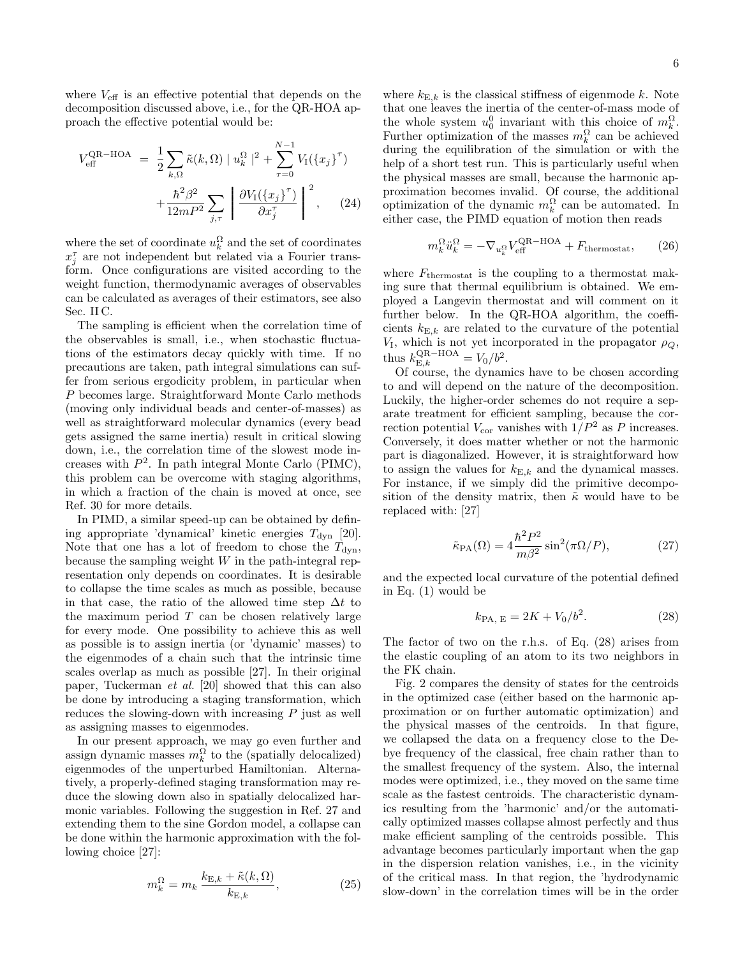where  $V_{\text{eff}}$  is an effective potential that depends on the decomposition discussed above, i.e., for the QR-HOA approach the effective potential would be:

$$
V_{\text{eff}}^{\text{QR-HOA}} = \frac{1}{2} \sum_{k,\Omega} \tilde{\kappa}(k,\Omega) |u_k^{\Omega}|^2 + \sum_{\tau=0}^{N-1} V_I(\{x_j\}^{\tau})
$$

$$
+ \frac{\hbar^2 \beta^2}{12mP^2} \sum_{j,\tau} \left| \frac{\partial V_I(\{x_j\}^{\tau})}{\partial x_j^{\tau}} \right|^2, \quad (24)
$$

where the set of coordinate  $u_k^{\Omega}$  and the set of coordinates  $x_j^{\tau}$  are not independent but related via a Fourier transform. Once configurations are visited according to the weight function, thermodynamic averages of observables can be calculated as averages of their estimators, see also Sec. II C.

The sampling is efficient when the correlation time of the observables is small, i.e., when stochastic fluctuations of the estimators decay quickly with time. If no precautions are taken, path integral simulations can suffer from serious ergodicity problem, in particular when P becomes large. Straightforward Monte Carlo methods (moving only individual beads and center-of-masses) as well as straightforward molecular dynamics (every bead gets assigned the same inertia) result in critical slowing down, i.e., the correlation time of the slowest mode increases with  $P^2$ . In path integral Monte Carlo (PIMC), this problem can be overcome with staging algorithms, in which a fraction of the chain is moved at once, see Ref. 30 for more details.

In PIMD, a similar speed-up can be obtained by defining appropriate 'dynamical' kinetic energies  $T_{\text{dyn}}$  [20]. Note that one has a lot of freedom to chose the  $T_{\rm dyn}$ , because the sampling weight  $W$  in the path-integral representation only depends on coordinates. It is desirable to collapse the time scales as much as possible, because in that case, the ratio of the allowed time step  $\Delta t$  to the maximum period  $T$  can be chosen relatively large for every mode. One possibility to achieve this as well as possible is to assign inertia (or 'dynamic' masses) to the eigenmodes of a chain such that the intrinsic time scales overlap as much as possible [27]. In their original paper, Tuckerman et al. [20] showed that this can also be done by introducing a staging transformation, which reduces the slowing-down with increasing P just as well as assigning masses to eigenmodes.

In our present approach, we may go even further and assign dynamic masses  $m_k^{\Omega}$  to the (spatially delocalized) eigenmodes of the unperturbed Hamiltonian. Alternatively, a properly-defined staging transformation may reduce the slowing down also in spatially delocalized harmonic variables. Following the suggestion in Ref. 27 and extending them to the sine Gordon model, a collapse can be done within the harmonic approximation with the following choice [27]:

$$
m_k^{\Omega} = m_k \frac{k_{\text{E},k} + \tilde{\kappa}(k,\Omega)}{k_{\text{E},k}},
$$
\n(25)

where  $k_{\text{E},k}$  is the classical stiffness of eigenmode k. Note that one leaves the inertia of the center-of-mass mode of the whole system  $u_0^0$  invariant with this choice of  $m_k^{\Omega}$ . Further optimization of the masses  $m_k^{\Omega}$  can be achieved during the equilibration of the simulation or with the help of a short test run. This is particularly useful when the physical masses are small, because the harmonic approximation becomes invalid. Of course, the additional optimization of the dynamic  $m_k^{\Omega}$  can be automated. In either case, the PIMD equation of motion then reads

$$
m_k^{\Omega} \ddot{u}_k^{\Omega} = -\nabla_{u_k^{\Omega}} V_{\text{eff}}^{\text{QR-HOA}} + F_{\text{thermostat}}, \qquad (26)
$$

where  $F_{\text{thermostat}}$  is the coupling to a thermostat making sure that thermal equilibrium is obtained. We employed a Langevin thermostat and will comment on it further below. In the QR-HOA algorithm, the coefficients  $k_{\text{E},k}$  are related to the curvature of the potential  $V_I$ , which is not yet incorporated in the propagator  $\rho_Q$ , thus  $k_{\text{E},k}^{\text{QR-HOA}} = V_0/b^2$ .

Of course, the dynamics have to be chosen according to and will depend on the nature of the decomposition. Luckily, the higher-order schemes do not require a separate treatment for efficient sampling, because the correction potential  $V_{\text{cor}}$  vanishes with  $1/P^2$  as P increases. Conversely, it does matter whether or not the harmonic part is diagonalized. However, it is straightforward how to assign the values for  $k_{\mathrm{E},k}$  and the dynamical masses. For instance, if we simply did the primitive decomposition of the density matrix, then  $\tilde{\kappa}$  would have to be replaced with: [27]

$$
\tilde{\kappa}_{\text{PA}}(\Omega) = 4 \frac{\hbar^2 P^2}{m\beta^2} \sin^2(\pi \Omega/P),\tag{27}
$$

and the expected local curvature of the potential defined in Eq. (1) would be

$$
k_{\text{PA, E}} = 2K + V_0/b^2. \tag{28}
$$

The factor of two on the r.h.s. of Eq. (28) arises from the elastic coupling of an atom to its two neighbors in the FK chain.

Fig. 2 compares the density of states for the centroids in the optimized case (either based on the harmonic approximation or on further automatic optimization) and the physical masses of the centroids. In that figure, we collapsed the data on a frequency close to the Debye frequency of the classical, free chain rather than to the smallest frequency of the system. Also, the internal modes were optimized, i.e., they moved on the same time scale as the fastest centroids. The characteristic dynamics resulting from the 'harmonic' and/or the automatically optimized masses collapse almost perfectly and thus make efficient sampling of the centroids possible. This advantage becomes particularly important when the gap in the dispersion relation vanishes, i.e., in the vicinity of the critical mass. In that region, the 'hydrodynamic slow-down' in the correlation times will be in the order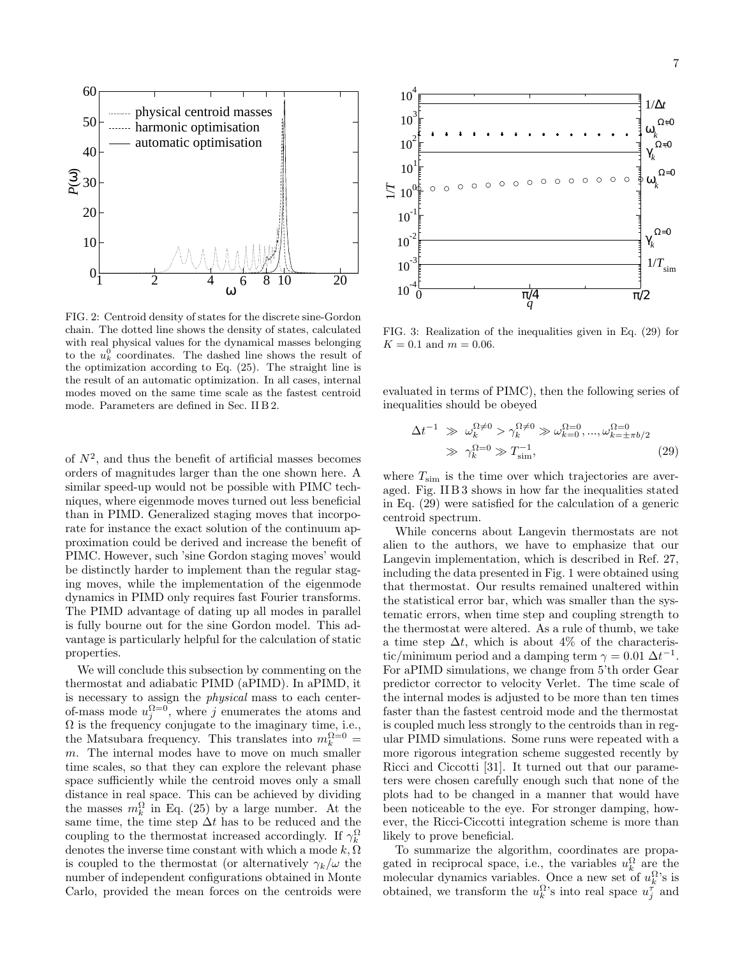

FIG. 2: Centroid density of states for the discrete sine-Gordon chain. The dotted line shows the density of states, calculated with real physical values for the dynamical masses belonging to the  $u_k^0$  coordinates. The dashed line shows the result of the optimization according to Eq. (25). The straight line is the result of an automatic optimization. In all cases, internal modes moved on the same time scale as the fastest centroid mode. Parameters are defined in Sec. II B 2.

of  $N^2$ , and thus the benefit of artificial masses becomes orders of magnitudes larger than the one shown here. A similar speed-up would not be possible with PIMC techniques, where eigenmode moves turned out less beneficial than in PIMD. Generalized staging moves that incorporate for instance the exact solution of the continuum approximation could be derived and increase the benefit of PIMC. However, such 'sine Gordon staging moves' would be distinctly harder to implement than the regular staging moves, while the implementation of the eigenmode dynamics in PIMD only requires fast Fourier transforms. The PIMD advantage of dating up all modes in parallel is fully bourne out for the sine Gordon model. This advantage is particularly helpful for the calculation of static properties.

We will conclude this subsection by commenting on the thermostat and adiabatic PIMD (aPIMD). In aPIMD, it is necessary to assign the physical mass to each centerof-mass mode  $u_j^{\Omega=0}$ , where j enumerates the atoms and  $\Omega$  is the frequency conjugate to the imaginary time, i.e., the Matsubara frequency. This translates into  $m_k^{\Omega=0}$  = m. The internal modes have to move on much smaller time scales, so that they can explore the relevant phase space sufficiently while the centroid moves only a small distance in real space. This can be achieved by dividing the masses  $m_k^{\Omega}$  in Eq. (25) by a large number. At the same time, the time step  $\Delta t$  has to be reduced and the coupling to the thermostat increased accordingly. If  $\gamma_k^{\Omega}$ denotes the inverse time constant with which a mode  $k, \Omega$ is coupled to the thermostat (or alternatively  $\gamma_k/\omega$  the number of independent configurations obtained in Monte Carlo, provided the mean forces on the centroids were



FIG. 3: Realization of the inequalities given in Eq. (29) for  $K = 0.1$  and  $m = 0.06$ .

evaluated in terms of PIMC), then the following series of inequalities should be obeyed

$$
\Delta t^{-1} \gg \omega_k^{\Omega \neq 0} > \gamma_k^{\Omega \neq 0} \gg \omega_{k=0}^{\Omega = 0}, ..., \omega_{k=\pm \pi b/2}^{\Omega = 0}
$$
  

$$
\gg \gamma_k^{\Omega = 0} \gg T_{\text{sim}}^{-1},
$$
 (29)

where  $T_{\text{sim}}$  is the time over which trajectories are averaged. Fig. II B 3 shows in how far the inequalities stated in Eq. (29) were satisfied for the calculation of a generic centroid spectrum.

While concerns about Langevin thermostats are not alien to the authors, we have to emphasize that our Langevin implementation, which is described in Ref. 27, including the data presented in Fig. 1 were obtained using that thermostat. Our results remained unaltered within the statistical error bar, which was smaller than the systematic errors, when time step and coupling strength to the thermostat were altered. As a rule of thumb, we take a time step  $\Delta t$ , which is about 4% of the characteristic/minimum period and a damping term  $\gamma = 0.01 \Delta t^{-1}$ . For aPIMD simulations, we change from 5'th order Gear predictor corrector to velocity Verlet. The time scale of the internal modes is adjusted to be more than ten times faster than the fastest centroid mode and the thermostat is coupled much less strongly to the centroids than in regular PIMD simulations. Some runs were repeated with a more rigorous integration scheme suggested recently by Ricci and Ciccotti [31]. It turned out that our parameters were chosen carefully enough such that none of the plots had to be changed in a manner that would have been noticeable to the eye. For stronger damping, however, the Ricci-Ciccotti integration scheme is more than likely to prove beneficial.

To summarize the algorithm, coordinates are propagated in reciprocal space, i.e., the variables  $u_k^{\Omega}$  are the molecular dynamics variables. Once a new set of  $u_k^{\Omega}$ 's is obtained, we transform the  $u_k^{\Omega}$ 's into real space  $u_j^{\tau}$  and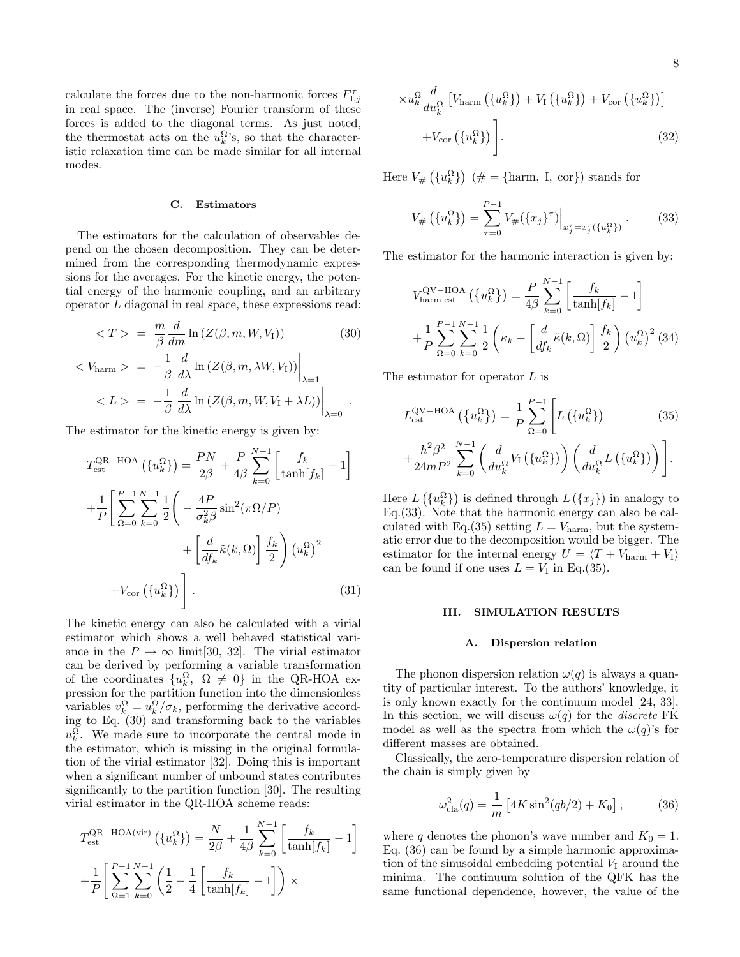calculate the forces due to the non-harmonic forces  $F_{\text{I},j}^{\tau}$ in real space. The (inverse) Fourier transform of these forces is added to the diagonal terms. As just noted, the thermostat acts on the  $u_k^{\Omega}$ 's, so that the characteristic relaxation time can be made similar for all internal modes.

# C. Estimators

The estimators for the calculation of observables depend on the chosen decomposition. They can be determined from the corresponding thermodynamic expressions for the averages. For the kinetic energy, the potential energy of the harmonic coupling, and an arbitrary operator L diagonal in real space, these expressions read:

$$
\langle T \rangle = \frac{m}{\beta} \frac{d}{dm} \ln \left( Z(\beta, m, W, V_{\rm I}) \right) \tag{30}
$$

$$
\langle V_{\text{harm}} \rangle = -\frac{1}{\beta} \frac{d}{d\lambda} \ln \left( Z(\beta, m, \lambda W, V_{\text{I}}) \right) \Big|_{\lambda=1}
$$
  

$$
\langle L \rangle = -\frac{1}{\beta} \frac{d}{d\lambda} \ln \left( Z(\beta, m, W, V_{\text{I}} + \lambda L) \right) \Big|_{\lambda=0}.
$$

The estimator for the kinetic energy is given by:

$$
T_{\text{est}}^{\text{QR-HOA}}\left(\{u_k^{\Omega}\}\right) = \frac{PN}{2\beta} + \frac{P}{4\beta} \sum_{k=0}^{N-1} \left[\frac{f_k}{\tanh[f_k]} - 1\right]
$$

$$
+ \frac{1}{P} \left[ \sum_{\Omega=0}^{P-1} \sum_{k=0}^{N-1} \frac{1}{2} \left( -\frac{4P}{\sigma_k^2 \beta} \sin^2(\pi \Omega/P) + \left[\frac{d}{df_k} \tilde{\kappa}(k, \Omega)\right] \frac{f_k}{2} \right) \left(u_k^{\Omega}\right)^2 + V_{\text{cor}}\left(\{u_k^{\Omega}\}\right) \right].
$$
(31)

The kinetic energy can also be calculated with a virial estimator which shows a well behaved statistical variance in the  $P \to \infty$  limit[30, 32]. The virial estimator can be derived by performing a variable transformation of the coordinates  $\{u_k^{\Omega}, \Omega \neq 0\}$  in the QR-HOA expression for the partition function into the dimensionless variables  $v_k^{\Omega} = u_k^{\Omega}/\sigma_k$ , performing the derivative according to Eq. (30) and transforming back to the variables  $u_k^{\Omega}$ . We made sure to incorporate the central mode in the estimator, which is missing in the original formulation of the virial estimator [32]. Doing this is important when a significant number of unbound states contributes significantly to the partition function [30]. The resulting virial estimator in the QR-HOA scheme reads:

$$
T_{\text{est}}^{\text{QR-HOA(vir)}}\left(\{u_k^{\Omega}\}\right) = \frac{N}{2\beta} + \frac{1}{4\beta} \sum_{k=0}^{N-1} \left[\frac{f_k}{\tanh[f_k]} - 1\right]
$$

$$
+ \frac{1}{P} \left[\sum_{\Omega=1}^{P-1} \sum_{k=0}^{N-1} \left(\frac{1}{2} - \frac{1}{4} \left[\frac{f_k}{\tanh[f_k]} - 1\right]\right) \times \right]
$$

$$
\times u_k^{\Omega} \frac{d}{du_k^{\Omega}} \left[ V_{\text{harm}} \left( \{ u_k^{\Omega} \} \right) + V_{\text{I}} \left( \{ u_k^{\Omega} \} \right) + V_{\text{cor}} \left( \{ u_k^{\Omega} \} \right) \right] + V_{\text{cor}} \left( \{ u_k^{\Omega} \} \right) \Bigg]. \tag{32}
$$

Here  $V_{\#}\left(\lbrace u_k^{\Omega} \rbrace\right)$  (# = {harm, I, cor}) stands for

$$
V_{\#}\left(\{u_{k}^{\Omega}\}\right) = \sum_{\tau=0}^{P-1} V_{\#}(\{x_{j}\}^{\tau})\Big|_{x_{j}^{\tau}=x_{j}^{\tau}(\{u_{k}^{\Omega}\})}.
$$
 (33)

The estimator for the harmonic interaction is given by:

$$
V_{\text{harm est}}^{\text{QV-HOA}}\left(\left\{u_k^{\Omega}\right\}\right) = \frac{P}{4\beta} \sum_{k=0}^{N-1} \left[\frac{f_k}{\tanh[f_k]} - 1\right]
$$

$$
+ \frac{1}{P} \sum_{\Omega=0}^{P-1} \sum_{k=0}^{N-1} \frac{1}{2} \left(\kappa_k + \left[\frac{d}{df_k} \tilde{\kappa}(k,\Omega)\right] \frac{f_k}{2}\right) \left(u_k^{\Omega}\right)^2 (34)
$$

The estimator for operator L is

$$
L_{\text{est}}^{\text{QV-HOA}}\left(\{u_k^{\Omega}\}\right) = \frac{1}{P} \sum_{\Omega=0}^{P-1} \left[L\left(\{u_k^{\Omega}\}\right) - \frac{\hbar^2 \beta^2}{24mP^2} \sum_{k=0}^{N-1} \left(\frac{d}{du_k^{\Omega}} V_I\left(\{u_k^{\Omega}\}\right)\right) \left(\frac{d}{du_k^{\Omega}} L\left(\{u_k^{\Omega}\}\right)\right)\right].
$$
 (35)

Here  $L(\lbrace u_k^{\Omega} \rbrace)$  is defined through  $L(\lbrace x_j \rbrace)$  in analogy to Eq.(33). Note that the harmonic energy can also be calculated with Eq.(35) setting  $L = V_{\text{harm}}$ , but the systematic error due to the decomposition would be bigger. The estimator for the internal energy  $U = \langle T + V_{\text{harm}} + V_I \rangle$ can be found if one uses  $L = V_I$  in Eq.(35).

# III. SIMULATION RESULTS

# A. Dispersion relation

The phonon dispersion relation  $\omega(q)$  is always a quantity of particular interest. To the authors' knowledge, it is only known exactly for the continuum model [24, 33]. In this section, we will discuss  $\omega(q)$  for the *discrete* FK model as well as the spectra from which the  $\omega(q)$ 's for different masses are obtained.

Classically, the zero-temperature dispersion relation of the chain is simply given by

$$
\omega_{\text{cla}}^2(q) = \frac{1}{m} \left[ 4K \sin^2(qb/2) + K_0 \right],\tag{36}
$$

where q denotes the phonon's wave number and  $K_0 = 1$ . Eq. (36) can be found by a simple harmonic approximation of the sinusoidal embedding potential  $V_I$  around the minima. The continuum solution of the QFK has the same functional dependence, however, the value of the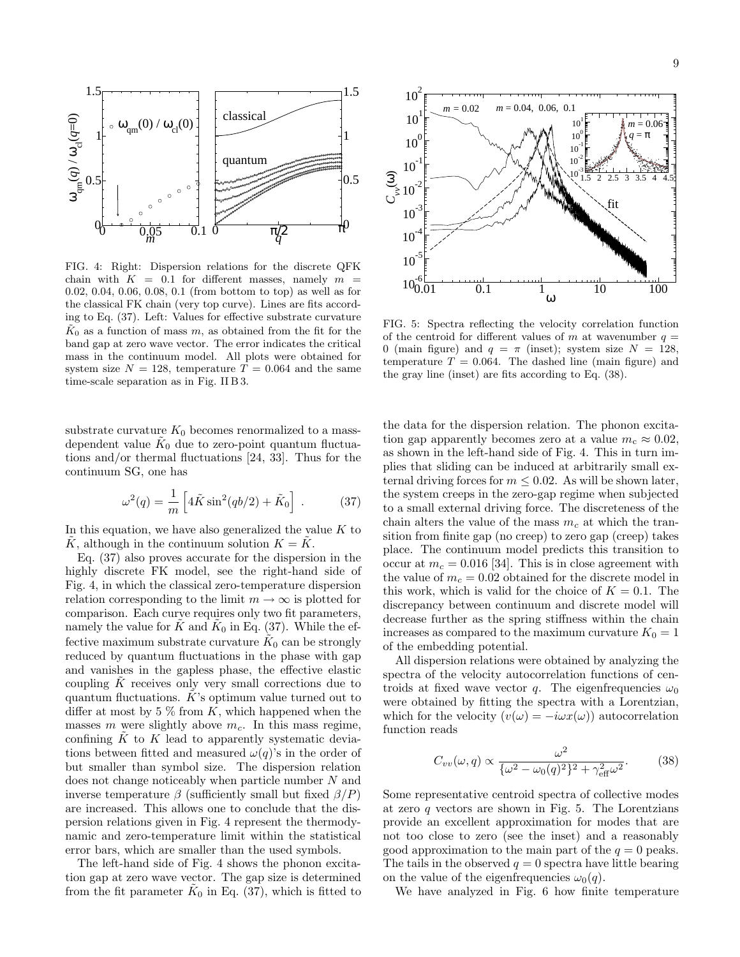

FIG. 4: Right: Dispersion relations for the discrete QFK chain with  $K = 0.1$  for different masses, namely  $m =$ 0.02, 0.04, 0.06, 0.08, 0.1 (from bottom to top) as well as for the classical FK chain (very top curve). Lines are fits according to Eq. (37). Left: Values for effective substrate curvature  $K_0$  as a function of mass m, as obtained from the fit for the band gap at zero wave vector. The error indicates the critical mass in the continuum model. All plots were obtained for system size  $N = 128$ , temperature  $T = 0.064$  and the same time-scale separation as in Fig. II B 3.

substrate curvature  $K_0$  becomes renormalized to a massdependent value  $\tilde{K}_0$  due to zero-point quantum fluctuations and/or thermal fluctuations [24, 33]. Thus for the continuum SG, one has

$$
\omega^2(q) = \frac{1}{m} \left[ 4\tilde{K}\sin^2(qb/2) + \tilde{K}_0 \right] . \tag{37}
$$

In this equation, we have also generalized the value  $K$  to  $\tilde{K}$ , although in the continuum solution  $K = \tilde{K}$ .

Eq. (37) also proves accurate for the dispersion in the highly discrete FK model, see the right-hand side of Fig. 4, in which the classical zero-temperature dispersion relation corresponding to the limit  $m \to \infty$  is plotted for comparison. Each curve requires only two fit parameters, namely the value for  $\tilde{K}$  and  $\tilde{K}_0$  in Eq. (37). While the effective maximum substrate curvature  $\tilde K_0$  can be strongly reduced by quantum fluctuations in the phase with gap and vanishes in the gapless phase, the effective elastic coupling  $K$  receives only very small corrections due to quantum fluctuations.  $K$ 's optimum value turned out to differ at most by 5  $\%$  from K, which happened when the masses m were slightly above  $m_c$ . In this mass regime, confining  $K$  to  $K$  lead to apparently systematic deviations between fitted and measured  $\omega(q)$ 's in the order of but smaller than symbol size. The dispersion relation does not change noticeably when particle number N and inverse temperature  $\beta$  (sufficiently small but fixed  $\beta/P$ ) are increased. This allows one to conclude that the dispersion relations given in Fig. 4 represent the thermodynamic and zero-temperature limit within the statistical error bars, which are smaller than the used symbols.

The left-hand side of Fig. 4 shows the phonon excitation gap at zero wave vector. The gap size is determined from the fit parameter  $\tilde{K}_0$  in Eq. (37), which is fitted to



FIG. 5: Spectra reflecting the velocity correlation function of the centroid for different values of m at wavenumber  $q =$ 0 (main figure) and  $q = \pi$  (inset); system size  $N = 128$ , temperature  $T = 0.064$ . The dashed line (main figure) and the gray line (inset) are fits according to Eq. (38).

the data for the dispersion relation. The phonon excitation gap apparently becomes zero at a value  $m_c \approx 0.02$ , as shown in the left-hand side of Fig. 4. This in turn implies that sliding can be induced at arbitrarily small external driving forces for  $m \leq 0.02$ . As will be shown later, the system creeps in the zero-gap regime when subjected to a small external driving force. The discreteness of the chain alters the value of the mass  $m<sub>c</sub>$  at which the transition from finite gap (no creep) to zero gap (creep) takes place. The continuum model predicts this transition to occur at  $m_c = 0.016$  [34]. This is in close agreement with the value of  $m_c = 0.02$  obtained for the discrete model in this work, which is valid for the choice of  $K = 0.1$ . The discrepancy between continuum and discrete model will decrease further as the spring stiffness within the chain increases as compared to the maximum curvature  $K_0 = 1$ of the embedding potential.

All dispersion relations were obtained by analyzing the spectra of the velocity autocorrelation functions of centroids at fixed wave vector q. The eigenfrequencies  $\omega_0$ were obtained by fitting the spectra with a Lorentzian, which for the velocity  $(v(\omega) = -i\omega x(\omega))$  autocorrelation function reads

$$
C_{vv}(\omega, q) \propto \frac{\omega^2}{\{\omega^2 - \omega_0(q)^2\}^2 + \gamma_{\text{eff}}^2 \omega^2}.
$$
 (38)

Some representative centroid spectra of collective modes at zero  $q$  vectors are shown in Fig. 5. The Lorentzians provide an excellent approximation for modes that are not too close to zero (see the inset) and a reasonably good approximation to the main part of the  $q = 0$  peaks. The tails in the observed  $q = 0$  spectra have little bearing on the value of the eigenfrequencies  $\omega_0(q)$ .

We have analyzed in Fig. 6 how finite temperature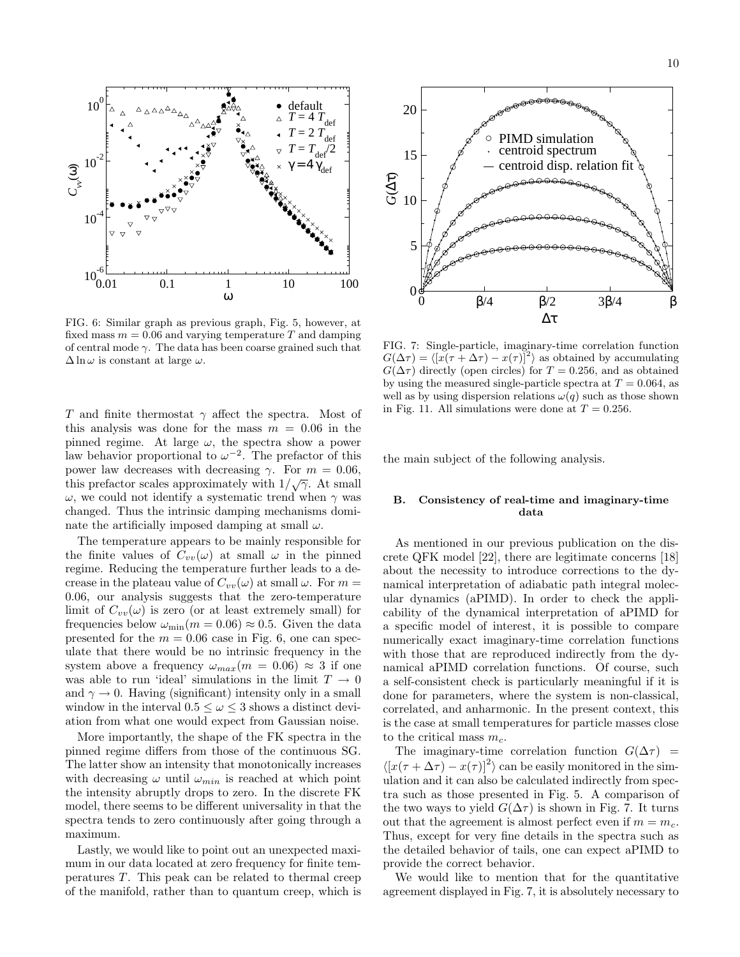

FIG. 6: Similar graph as previous graph, Fig. 5, however, at fixed mass  $m = 0.06$  and varying temperature T and damping of central mode  $\gamma$ . The data has been coarse grained such that  $\Delta \ln \omega$  is constant at large  $\omega$ .

T and finite thermostat  $\gamma$  affect the spectra. Most of this analysis was done for the mass  $m = 0.06$  in the pinned regime. At large  $\omega$ , the spectra show a power law behavior proportional to  $\omega^{-2}$ . The prefactor of this power law decreases with decreasing  $\gamma$ . For  $m = 0.06$ , this prefactor scales approximately with  $1/\sqrt{\gamma}$ . At small  $ω$ , we could not identify a systematic trend when  $γ$  was changed. Thus the intrinsic damping mechanisms dominate the artificially imposed damping at small  $\omega$ .

The temperature appears to be mainly responsible for the finite values of  $C_{vv}(\omega)$  at small  $\omega$  in the pinned regime. Reducing the temperature further leads to a decrease in the plateau value of  $C_{vv}(\omega)$  at small  $\omega$ . For  $m =$ 0.06, our analysis suggests that the zero-temperature limit of  $C_{vv}(\omega)$  is zero (or at least extremely small) for frequencies below  $\omega_{\min}(m = 0.06) \approx 0.5$ . Given the data presented for the  $m = 0.06$  case in Fig. 6, one can speculate that there would be no intrinsic frequency in the system above a frequency  $\omega_{max}(m = 0.06) \approx 3$  if one was able to run 'ideal' simulations in the limit  $T \to 0$ and  $\gamma \to 0$ . Having (significant) intensity only in a small window in the interval  $0.5 \leq \omega \leq 3$  shows a distinct deviation from what one would expect from Gaussian noise.

More importantly, the shape of the FK spectra in the pinned regime differs from those of the continuous SG. The latter show an intensity that monotonically increases with decreasing  $\omega$  until  $\omega_{min}$  is reached at which point the intensity abruptly drops to zero. In the discrete FK model, there seems to be different universality in that the spectra tends to zero continuously after going through a maximum.

Lastly, we would like to point out an unexpected maximum in our data located at zero frequency for finite temperatures T. This peak can be related to thermal creep of the manifold, rather than to quantum creep, which is



FIG. 7: Single-particle, imaginary-time correlation function  $G(\Delta \tau) = \langle [x(\tau + \Delta \tau) - x(\tau)]^2 \rangle$  as obtained by accumulating  $G(\Delta \tau)$  directly (open circles) for  $T = 0.256$ , and as obtained by using the measured single-particle spectra at  $T = 0.064$ , as well as by using dispersion relations  $\omega(q)$  such as those shown in Fig. 11. All simulations were done at  $T = 0.256$ .

the main subject of the following analysis.

# B. Consistency of real-time and imaginary-time data

As mentioned in our previous publication on the discrete QFK model [22], there are legitimate concerns [18] about the necessity to introduce corrections to the dynamical interpretation of adiabatic path integral molecular dynamics (aPIMD). In order to check the applicability of the dynamical interpretation of aPIMD for a specific model of interest, it is possible to compare numerically exact imaginary-time correlation functions with those that are reproduced indirectly from the dynamical aPIMD correlation functions. Of course, such a self-consistent check is particularly meaningful if it is done for parameters, where the system is non-classical, correlated, and anharmonic. In the present context, this is the case at small temperatures for particle masses close to the critical mass  $m_c$ .

The imaginary-time correlation function  $G(\Delta \tau)$  =  $\langle [x(\tau + \Delta \tau) - x(\tau)]^2 \rangle$  can be easily monitored in the simulation and it can also be calculated indirectly from spectra such as those presented in Fig. 5. A comparison of the two ways to yield  $G(\Delta \tau)$  is shown in Fig. 7. It turns out that the agreement is almost perfect even if  $m = m_c$ . Thus, except for very fine details in the spectra such as the detailed behavior of tails, one can expect aPIMD to provide the correct behavior.

We would like to mention that for the quantitative agreement displayed in Fig. 7, it is absolutely necessary to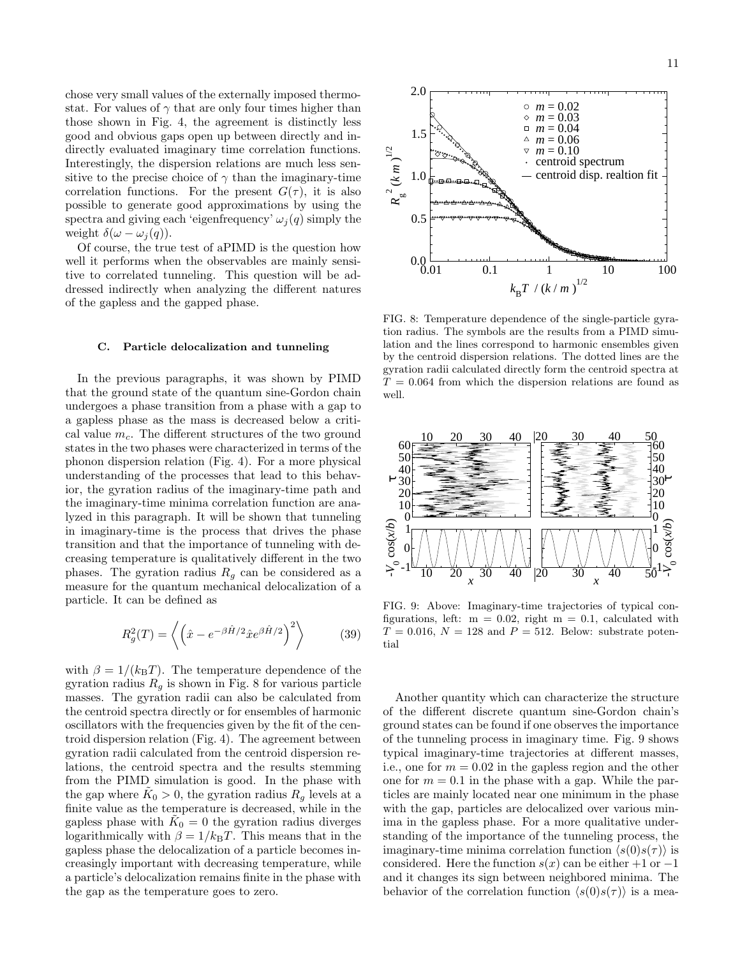chose very small values of the externally imposed thermostat. For values of  $\gamma$  that are only four times higher than those shown in Fig. 4, the agreement is distinctly less good and obvious gaps open up between directly and indirectly evaluated imaginary time correlation functions. Interestingly, the dispersion relations are much less sensitive to the precise choice of  $\gamma$  than the imaginary-time correlation functions. For the present  $G(\tau)$ , it is also possible to generate good approximations by using the spectra and giving each 'eigenfrequency'  $\omega_i(q)$  simply the weight  $\delta(\omega - \omega_i(q))$ .

Of course, the true test of aPIMD is the question how well it performs when the observables are mainly sensitive to correlated tunneling. This question will be addressed indirectly when analyzing the different natures of the gapless and the gapped phase.

## C. Particle delocalization and tunneling

In the previous paragraphs, it was shown by PIMD that the ground state of the quantum sine-Gordon chain undergoes a phase transition from a phase with a gap to a gapless phase as the mass is decreased below a critical value  $m_c$ . The different structures of the two ground states in the two phases were characterized in terms of the phonon dispersion relation (Fig. 4). For a more physical understanding of the processes that lead to this behavior, the gyration radius of the imaginary-time path and the imaginary-time minima correlation function are analyzed in this paragraph. It will be shown that tunneling in imaginary-time is the process that drives the phase transition and that the importance of tunneling with decreasing temperature is qualitatively different in the two phases. The gyration radius  $R<sub>q</sub>$  can be considered as a measure for the quantum mechanical delocalization of a particle. It can be defined as

$$
R_g^2(T) = \left\langle \left(\hat{x} - e^{-\beta \hat{H}/2} \hat{x} e^{\beta \hat{H}/2} \right)^2 \right\rangle \tag{39}
$$

with  $\beta = 1/(k_BT)$ . The temperature dependence of the gyration radius  $R<sub>q</sub>$  is shown in Fig. 8 for various particle masses. The gyration radii can also be calculated from the centroid spectra directly or for ensembles of harmonic oscillators with the frequencies given by the fit of the centroid dispersion relation (Fig. 4). The agreement between gyration radii calculated from the centroid dispersion relations, the centroid spectra and the results stemming from the PIMD simulation is good. In the phase with the gap where  $\tilde{K}_0 > 0$ , the gyration radius  $R_g$  levels at a finite value as the temperature is decreased, while in the gapless phase with  $\tilde{K}_0 = 0$  the gyration radius diverges logarithmically with  $\beta = 1/k_BT$ . This means that in the gapless phase the delocalization of a particle becomes increasingly important with decreasing temperature, while a particle's delocalization remains finite in the phase with the gap as the temperature goes to zero.



FIG. 8: Temperature dependence of the single-particle gyration radius. The symbols are the results from a PIMD simulation and the lines correspond to harmonic ensembles given by the centroid dispersion relations. The dotted lines are the gyration radii calculated directly form the centroid spectra at  $T = 0.064$  from which the dispersion relations are found as well.



FIG. 9: Above: Imaginary-time trajectories of typical configurations, left:  $m = 0.02$ , right  $m = 0.1$ , calculated with  $T = 0.016$ ,  $N = 128$  and  $P = 512$ . Below: substrate potential

Another quantity which can characterize the structure of the different discrete quantum sine-Gordon chain's ground states can be found if one observes the importance of the tunneling process in imaginary time. Fig. 9 shows typical imaginary-time trajectories at different masses, i.e., one for  $m = 0.02$  in the gapless region and the other one for  $m = 0.1$  in the phase with a gap. While the particles are mainly located near one minimum in the phase with the gap, particles are delocalized over various minima in the gapless phase. For a more qualitative understanding of the importance of the tunneling process, the imaginary-time minima correlation function  $\langle s(0)s(\tau) \rangle$  is considered. Here the function  $s(x)$  can be either +1 or -1 and it changes its sign between neighbored minima. The behavior of the correlation function  $\langle s(0)s(\tau) \rangle$  is a mea-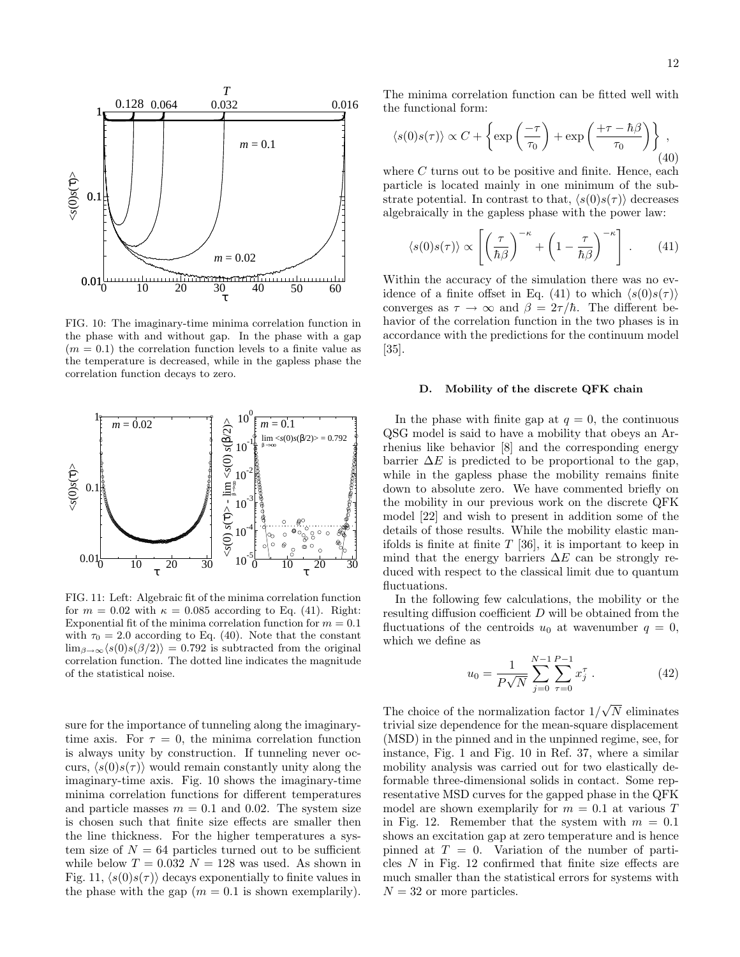

FIG. 10: The imaginary-time minima correlation function in the phase with and without gap. In the phase with a gap  $(m = 0.1)$  the correlation function levels to a finite value as the temperature is decreased, while in the gapless phase the correlation function decays to zero.



FIG. 11: Left: Algebraic fit of the minima correlation function for  $m = 0.02$  with  $\kappa = 0.085$  according to Eq. (41). Right: Exponential fit of the minima correlation function for  $m = 0.1$ with  $\tau_0 = 2.0$  according to Eq. (40). Note that the constant  $\lim_{\beta\to\infty}$  $\langle s(0)s(\beta/2)\rangle = 0.792$  is subtracted from the original correlation function. The dotted line indicates the magnitude of the statistical noise.

sure for the importance of tunneling along the imaginarytime axis. For  $\tau = 0$ , the minima correlation function is always unity by construction. If tunneling never occurs,  $\langle s(0)s(\tau) \rangle$  would remain constantly unity along the imaginary-time axis. Fig. 10 shows the imaginary-time minima correlation functions for different temperatures and particle masses  $m = 0.1$  and 0.02. The system size is chosen such that finite size effects are smaller then the line thickness. For the higher temperatures a system size of  $N = 64$  particles turned out to be sufficient while below  $T = 0.032$   $N = 128$  was used. As shown in Fig. 11,  $\langle s(0)s(\tau) \rangle$  decays exponentially to finite values in the phase with the gap  $(m = 0.1$  is shown exemplarily).

The minima correlation function can be fitted well with the functional form:

$$
\langle s(0)s(\tau) \rangle \propto C + \left\{ \exp\left(\frac{-\tau}{\tau_0}\right) + \exp\left(\frac{+\tau - \hbar\beta}{\tau_0}\right) \right\},\tag{40}
$$

where  $C$  turns out to be positive and finite. Hence, each particle is located mainly in one minimum of the substrate potential. In contrast to that,  $\langle s(0)s(\tau) \rangle$  decreases algebraically in the gapless phase with the power law:

$$
\langle s(0)s(\tau) \rangle \propto \left[ \left( \frac{\tau}{\hbar \beta} \right)^{-\kappa} + \left( 1 - \frac{\tau}{\hbar \beta} \right)^{-\kappa} \right] . \tag{41}
$$

Within the accuracy of the simulation there was no evidence of a finite offset in Eq. (41) to which  $\langle s(0)s(\tau) \rangle$ converges as  $\tau \to \infty$  and  $\beta = 2\tau/\hbar$ . The different behavior of the correlation function in the two phases is in accordance with the predictions for the continuum model [35].

### D. Mobility of the discrete QFK chain

In the phase with finite gap at  $q = 0$ , the continuous QSG model is said to have a mobility that obeys an Arrhenius like behavior [8] and the corresponding energy barrier  $\Delta E$  is predicted to be proportional to the gap, while in the gapless phase the mobility remains finite down to absolute zero. We have commented briefly on the mobility in our previous work on the discrete QFK model [22] and wish to present in addition some of the details of those results. While the mobility elastic manifolds is finite at finite  $T$  [36], it is important to keep in mind that the energy barriers  $\Delta E$  can be strongly reduced with respect to the classical limit due to quantum fluctuations.

In the following few calculations, the mobility or the resulting diffusion coefficient  $D$  will be obtained from the fluctuations of the centroids  $u_0$  at wavenumber  $q = 0$ , which we define as

$$
u_0 = \frac{1}{P\sqrt{N}} \sum_{j=0}^{N-1} \sum_{\tau=0}^{P-1} x_j^{\tau} . \tag{42}
$$

The choice of the normalization factor  $1/\sqrt{N}$  eliminates trivial size dependence for the mean-square displacement (MSD) in the pinned and in the unpinned regime, see, for instance, Fig. 1 and Fig. 10 in Ref. 37, where a similar mobility analysis was carried out for two elastically deformable three-dimensional solids in contact. Some representative MSD curves for the gapped phase in the QFK model are shown exemplarily for  $m = 0.1$  at various T in Fig. 12. Remember that the system with  $m = 0.1$ shows an excitation gap at zero temperature and is hence pinned at  $T = 0$ . Variation of the number of particles  $N$  in Fig. 12 confirmed that finite size effects are much smaller than the statistical errors for systems with  $N = 32$  or more particles.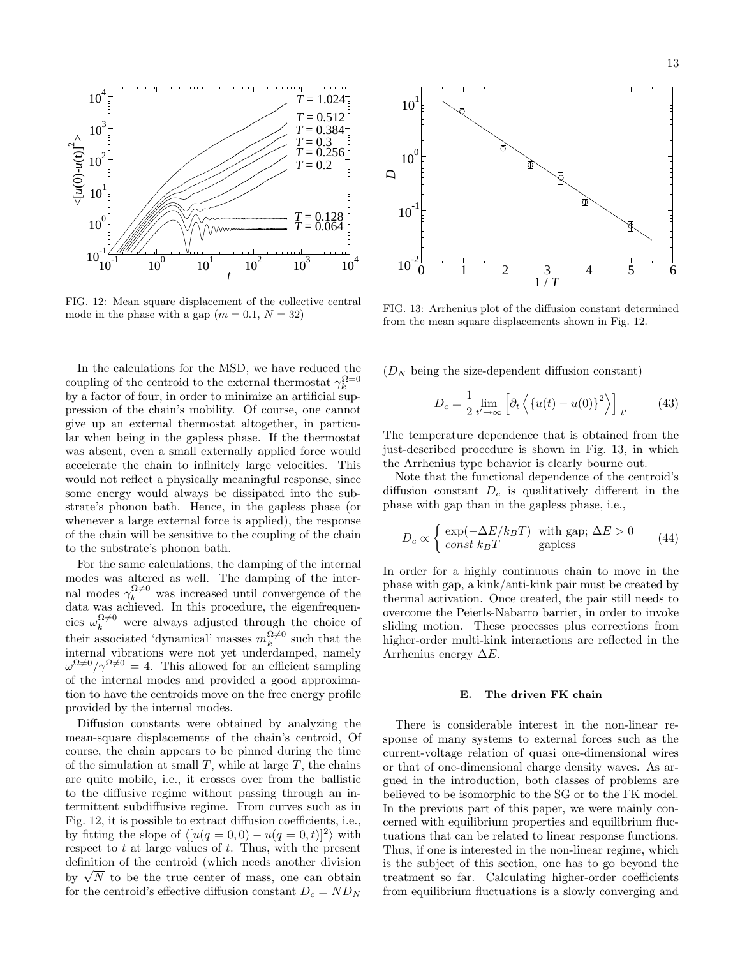

FIG. 12: Mean square displacement of the collective central mode in the phase with a gap  $(m = 0.1, N = 32)$ 

In the calculations for the MSD, we have reduced the coupling of the centroid to the external thermostat  $\gamma_k^{\Omega=0}$ by a factor of four, in order to minimize an artificial suppression of the chain's mobility. Of course, one cannot give up an external thermostat altogether, in particular when being in the gapless phase. If the thermostat was absent, even a small externally applied force would accelerate the chain to infinitely large velocities. This would not reflect a physically meaningful response, since some energy would always be dissipated into the substrate's phonon bath. Hence, in the gapless phase (or whenever a large external force is applied), the response of the chain will be sensitive to the coupling of the chain to the substrate's phonon bath.

For the same calculations, the damping of the internal modes was altered as well. The damping of the internal modes  $\gamma_k^{\Omega \neq 0}$  was increased until convergence of the data was achieved. In this procedure, the eigenfrequencies  $\omega_k^{\Omega \neq 0}$  were always adjusted through the choice of their associated 'dynamical' masses  $m_k^{\Omega \neq 0}$  such that the internal vibrations were not yet underdamped, namely  $\omega^{\Omega \neq 0}/\gamma^{\Omega \neq 0} = 4$ . This allowed for an efficient sampling of the internal modes and provided a good approximation to have the centroids move on the free energy profile provided by the internal modes.

Diffusion constants were obtained by analyzing the mean-square displacements of the chain's centroid, Of course, the chain appears to be pinned during the time of the simulation at small  $T$ , while at large  $T$ , the chains are quite mobile, i.e., it crosses over from the ballistic to the diffusive regime without passing through an intermittent subdiffusive regime. From curves such as in Fig. 12, it is possible to extract diffusion coefficients, i.e., by fitting the slope of  $\langle [u(q = 0, 0) - u(q = 0, t)]^2 \rangle$  with respect to t at large values of t. Thus, with the present definition of the centroid (which needs another division by  $\sqrt{N}$  to be the true center of mass, one can obtain for the centroid's effective diffusion constant  $D_c = ND_N$ 



FIG. 13: Arrhenius plot of the diffusion constant determined from the mean square displacements shown in Fig. 12.

 $(D_N)$  being the size-dependent diffusion constant)

$$
D_c = \frac{1}{2} \lim_{t' \to \infty} \left[ \partial_t \left\langle \{ u(t) - u(0) \}^2 \right\rangle \right]_{|t'} \tag{43}
$$

The temperature dependence that is obtained from the just-described procedure is shown in Fig. 13, in which the Arrhenius type behavior is clearly bourne out.

Note that the functional dependence of the centroid's diffusion constant  $D_c$  is qualitatively different in the phase with gap than in the gapless phase, i.e.,

$$
D_c \propto \begin{cases} \exp(-\Delta E/k_B T) & \text{with gap; } \Delta E > 0\\ \text{const } k_B T & \text{gapless} \end{cases}
$$
(44)

In order for a highly continuous chain to move in the phase with gap, a kink/anti-kink pair must be created by thermal activation. Once created, the pair still needs to overcome the Peierls-Nabarro barrier, in order to invoke sliding motion. These processes plus corrections from higher-order multi-kink interactions are reflected in the Arrhenius energy  $\Delta E$ .

## E. The driven FK chain

There is considerable interest in the non-linear response of many systems to external forces such as the current-voltage relation of quasi one-dimensional wires or that of one-dimensional charge density waves. As argued in the introduction, both classes of problems are believed to be isomorphic to the SG or to the FK model. In the previous part of this paper, we were mainly concerned with equilibrium properties and equilibrium fluctuations that can be related to linear response functions. Thus, if one is interested in the non-linear regime, which is the subject of this section, one has to go beyond the treatment so far. Calculating higher-order coefficients from equilibrium fluctuations is a slowly converging and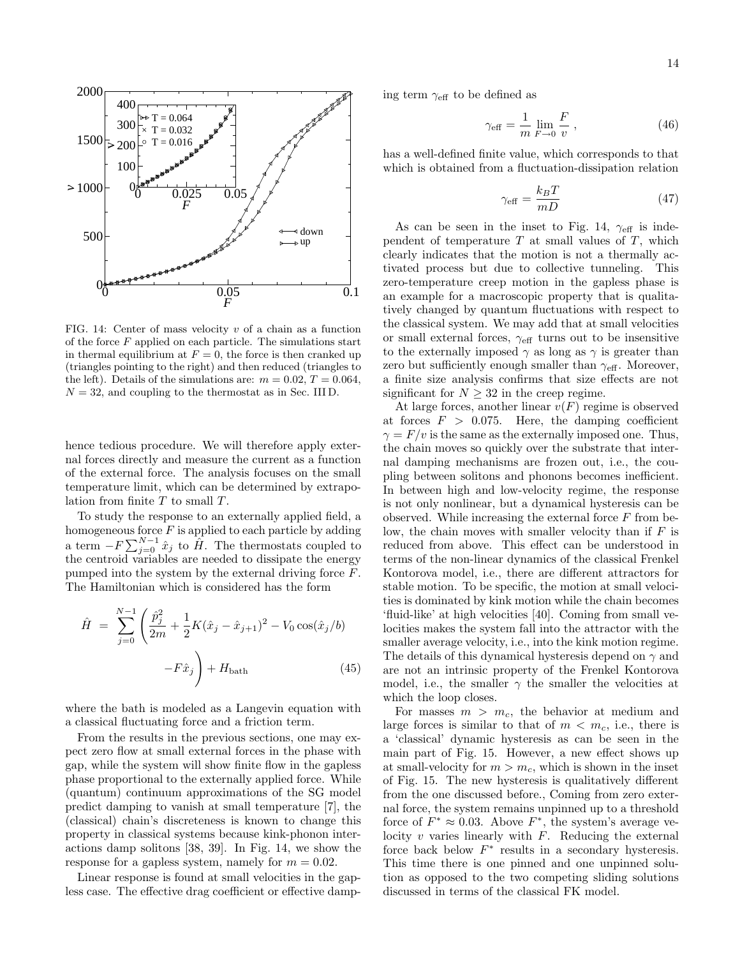

FIG. 14: Center of mass velocity  $v$  of a chain as a function of the force  $F$  applied on each particle. The simulations start in thermal equilibrium at  $F = 0$ , the force is then cranked up (triangles pointing to the right) and then reduced (triangles to the left). Details of the simulations are:  $m = 0.02, T = 0.064$ ,  $N = 32$ , and coupling to the thermostat as in Sec. III D.

hence tedious procedure. We will therefore apply external forces directly and measure the current as a function of the external force. The analysis focuses on the small temperature limit, which can be determined by extrapolation from finite T to small T.

To study the response to an externally applied field, a homogeneous force  $F$  is applied to each particle by adding a term  $-F\sum_{j=0}^{N-1}\hat{x}_j$  to  $\hat{H}$ . The thermostats coupled to the centroid variables are needed to dissipate the energy pumped into the system by the external driving force F. The Hamiltonian which is considered has the form

$$
\hat{H} = \sum_{j=0}^{N-1} \left( \frac{\hat{p}_j^2}{2m} + \frac{1}{2} K(\hat{x}_j - \hat{x}_{j+1})^2 - V_0 \cos(\hat{x}_j / b) -F\hat{x}_j \right) + H_{\text{bath}} \tag{45}
$$

where the bath is modeled as a Langevin equation with a classical fluctuating force and a friction term.

From the results in the previous sections, one may expect zero flow at small external forces in the phase with gap, while the system will show finite flow in the gapless phase proportional to the externally applied force. While (quantum) continuum approximations of the SG model predict damping to vanish at small temperature [7], the (classical) chain's discreteness is known to change this property in classical systems because kink-phonon interactions damp solitons [38, 39]. In Fig. 14, we show the response for a gapless system, namely for  $m = 0.02$ .

Linear response is found at small velocities in the gapless case. The effective drag coefficient or effective damping term  $\gamma_{\text{eff}}$  to be defined as

$$
\gamma_{\text{eff}} = \frac{1}{m} \lim_{F \to 0} \frac{F}{v},\qquad(46)
$$

has a well-defined finite value, which corresponds to that which is obtained from a fluctuation-dissipation relation

$$
\gamma_{\text{eff}} = \frac{k_B T}{mD} \tag{47}
$$

As can be seen in the inset to Fig. 14,  $\gamma_{\text{eff}}$  is independent of temperature  $T$  at small values of  $T$ , which clearly indicates that the motion is not a thermally activated process but due to collective tunneling. This zero-temperature creep motion in the gapless phase is an example for a macroscopic property that is qualitatively changed by quantum fluctuations with respect to the classical system. We may add that at small velocities or small external forces,  $\gamma_{\text{eff}}$  turns out to be insensitive to the externally imposed  $\gamma$  as long as  $\gamma$  is greater than zero but sufficiently enough smaller than  $\gamma_{\text{eff}}$ . Moreover, a finite size analysis confirms that size effects are not significant for  $N \geq 32$  in the creep regime.

At large forces, another linear  $v(F)$  regime is observed at forces  $F > 0.075$ . Here, the damping coefficient  $\gamma = F/v$  is the same as the externally imposed one. Thus, the chain moves so quickly over the substrate that internal damping mechanisms are frozen out, i.e., the coupling between solitons and phonons becomes inefficient. In between high and low-velocity regime, the response is not only nonlinear, but a dynamical hysteresis can be observed. While increasing the external force  $F$  from below, the chain moves with smaller velocity than if  $F$  is reduced from above. This effect can be understood in terms of the non-linear dynamics of the classical Frenkel Kontorova model, i.e., there are different attractors for stable motion. To be specific, the motion at small velocities is dominated by kink motion while the chain becomes 'fluid-like' at high velocities [40]. Coming from small velocities makes the system fall into the attractor with the smaller average velocity, i.e., into the kink motion regime. The details of this dynamical hysteresis depend on  $\gamma$  and are not an intrinsic property of the Frenkel Kontorova model, i.e., the smaller  $\gamma$  the smaller the velocities at which the loop closes.

For masses  $m > m_c$ , the behavior at medium and large forces is similar to that of  $m < m_c$ , i.e., there is a 'classical' dynamic hysteresis as can be seen in the main part of Fig. 15. However, a new effect shows up at small-velocity for  $m > m_c$ , which is shown in the inset of Fig. 15. The new hysteresis is qualitatively different from the one discussed before., Coming from zero external force, the system remains unpinned up to a threshold force of  $F^* \approx 0.03$ . Above  $F^*$ , the system's average velocity  $v$  varies linearly with  $F$ . Reducing the external force back below  $F^*$  results in a secondary hysteresis. This time there is one pinned and one unpinned solution as opposed to the two competing sliding solutions discussed in terms of the classical FK model.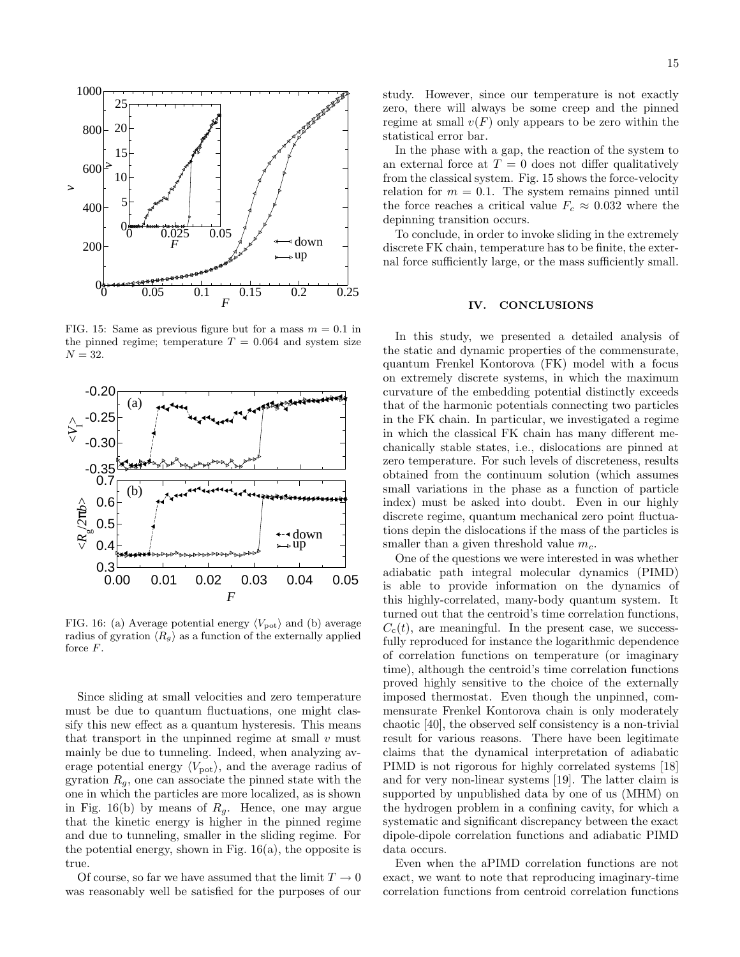

FIG. 15: Same as previous figure but for a mass  $m = 0.1$  in the pinned regime; temperature  $T = 0.064$  and system size  $N = 32$ .



FIG. 16: (a) Average potential energy  $\langle V_{\text{pot}} \rangle$  and (b) average radius of gyration  $\langle R_{q} \rangle$  as a function of the externally applied force F.

Since sliding at small velocities and zero temperature must be due to quantum fluctuations, one might classify this new effect as a quantum hysteresis. This means that transport in the unpinned regime at small  $v$  must mainly be due to tunneling. Indeed, when analyzing average potential energy  $\langle V_{\text{pot}} \rangle$ , and the average radius of gyration  $R_q$ , one can associate the pinned state with the one in which the particles are more localized, as is shown in Fig. 16(b) by means of  $R<sub>g</sub>$ . Hence, one may argue that the kinetic energy is higher in the pinned regime and due to tunneling, smaller in the sliding regime. For the potential energy, shown in Fig.  $16(a)$ , the opposite is true.

Of course, so far we have assumed that the limit  $T \to 0$ was reasonably well be satisfied for the purposes of our

study. However, since our temperature is not exactly zero, there will always be some creep and the pinned regime at small  $v(F)$  only appears to be zero within the statistical error bar.

In the phase with a gap, the reaction of the system to an external force at  $T = 0$  does not differ qualitatively from the classical system. Fig. 15 shows the force-velocity relation for  $m = 0.1$ . The system remains pinned until the force reaches a critical value  $F_c \approx 0.032$  where the depinning transition occurs.

To conclude, in order to invoke sliding in the extremely discrete FK chain, temperature has to be finite, the external force sufficiently large, or the mass sufficiently small.

# IV. CONCLUSIONS

In this study, we presented a detailed analysis of the static and dynamic properties of the commensurate, quantum Frenkel Kontorova (FK) model with a focus on extremely discrete systems, in which the maximum curvature of the embedding potential distinctly exceeds that of the harmonic potentials connecting two particles in the FK chain. In particular, we investigated a regime in which the classical FK chain has many different mechanically stable states, i.e., dislocations are pinned at zero temperature. For such levels of discreteness, results obtained from the continuum solution (which assumes small variations in the phase as a function of particle index) must be asked into doubt. Even in our highly discrete regime, quantum mechanical zero point fluctuations depin the dislocations if the mass of the particles is smaller than a given threshold value  $m_c$ .

One of the questions we were interested in was whether adiabatic path integral molecular dynamics (PIMD) is able to provide information on the dynamics of this highly-correlated, many-body quantum system. It turned out that the centroid's time correlation functions,  $C<sub>c</sub>(t)$ , are meaningful. In the present case, we successfully reproduced for instance the logarithmic dependence of correlation functions on temperature (or imaginary time), although the centroid's time correlation functions proved highly sensitive to the choice of the externally imposed thermostat. Even though the unpinned, commensurate Frenkel Kontorova chain is only moderately chaotic [40], the observed self consistency is a non-trivial result for various reasons. There have been legitimate claims that the dynamical interpretation of adiabatic PIMD is not rigorous for highly correlated systems [18] and for very non-linear systems [19]. The latter claim is supported by unpublished data by one of us (MHM) on the hydrogen problem in a confining cavity, for which a systematic and significant discrepancy between the exact dipole-dipole correlation functions and adiabatic PIMD data occurs.

Even when the aPIMD correlation functions are not exact, we want to note that reproducing imaginary-time correlation functions from centroid correlation functions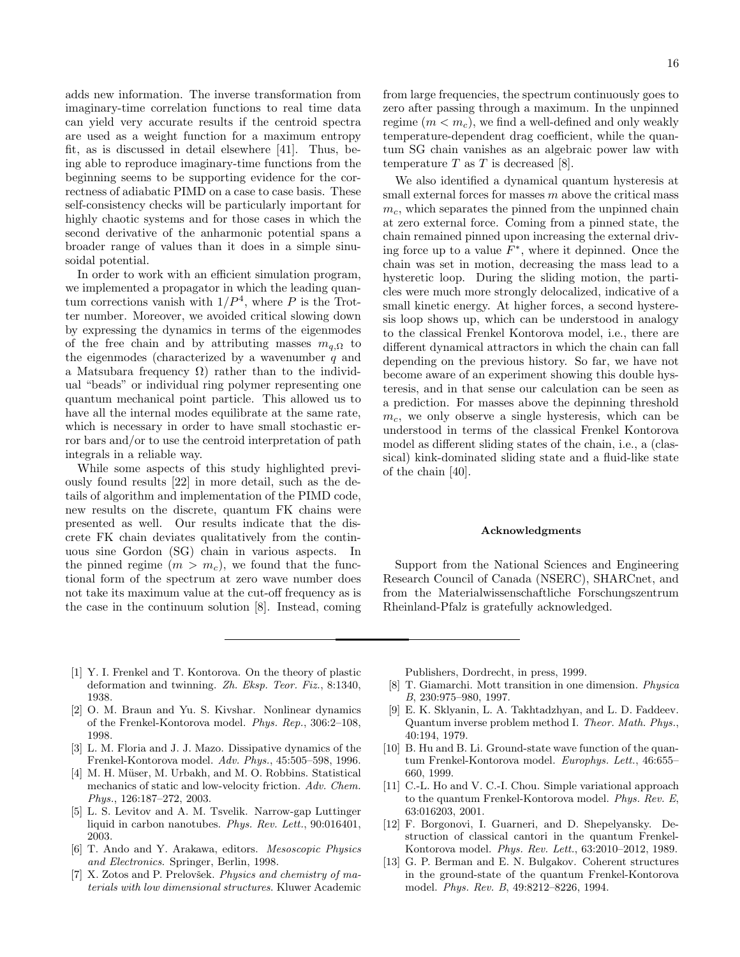adds new information. The inverse transformation from imaginary-time correlation functions to real time data can yield very accurate results if the centroid spectra are used as a weight function for a maximum entropy fit, as is discussed in detail elsewhere [41]. Thus, being able to reproduce imaginary-time functions from the beginning seems to be supporting evidence for the correctness of adiabatic PIMD on a case to case basis. These self-consistency checks will be particularly important for highly chaotic systems and for those cases in which the second derivative of the anharmonic potential spans a broader range of values than it does in a simple sinusoidal potential.

In order to work with an efficient simulation program, we implemented a propagator in which the leading quantum corrections vanish with  $1/P<sup>4</sup>$ , where P is the Trotter number. Moreover, we avoided critical slowing down by expressing the dynamics in terms of the eigenmodes of the free chain and by attributing masses  $m_{q,\Omega}$  to the eigenmodes (characterized by a wavenumber  $q$  and a Matsubara frequency  $\Omega$ ) rather than to the individual "beads" or individual ring polymer representing one quantum mechanical point particle. This allowed us to have all the internal modes equilibrate at the same rate, which is necessary in order to have small stochastic error bars and/or to use the centroid interpretation of path integrals in a reliable way.

While some aspects of this study highlighted previously found results [22] in more detail, such as the details of algorithm and implementation of the PIMD code, new results on the discrete, quantum FK chains were presented as well. Our results indicate that the discrete FK chain deviates qualitatively from the continuous sine Gordon (SG) chain in various aspects. In the pinned regime  $(m > m_c)$ , we found that the functional form of the spectrum at zero wave number does not take its maximum value at the cut-off frequency as is the case in the continuum solution [8]. Instead, coming

from large frequencies, the spectrum continuously goes to zero after passing through a maximum. In the unpinned regime  $(m < m<sub>c</sub>)$ , we find a well-defined and only weakly temperature-dependent drag coefficient, while the quantum SG chain vanishes as an algebraic power law with temperature  $T$  as  $T$  is decreased [8].

We also identified a dynamical quantum hysteresis at small external forces for masses  $m$  above the critical mass  $m_c$ , which separates the pinned from the unpinned chain at zero external force. Coming from a pinned state, the chain remained pinned upon increasing the external driving force up to a value  $F^*$ , where it depinned. Once the chain was set in motion, decreasing the mass lead to a hysteretic loop. During the sliding motion, the particles were much more strongly delocalized, indicative of a small kinetic energy. At higher forces, a second hysteresis loop shows up, which can be understood in analogy to the classical Frenkel Kontorova model, i.e., there are different dynamical attractors in which the chain can fall depending on the previous history. So far, we have not become aware of an experiment showing this double hysteresis, and in that sense our calculation can be seen as a prediction. For masses above the depinning threshold  $m_c$ , we only observe a single hysteresis, which can be understood in terms of the classical Frenkel Kontorova model as different sliding states of the chain, i.e., a (classical) kink-dominated sliding state and a fluid-like state of the chain [40].

### Acknowledgments

Support from the National Sciences and Engineering Research Council of Canada (NSERC), SHARCnet, and from the Materialwissenschaftliche Forschungszentrum Rheinland-Pfalz is gratefully acknowledged.

- [1] Y. I. Frenkel and T. Kontorova. On the theory of plastic deformation and twinning. Zh. Eksp. Teor. Fiz., 8:1340, 1938.
- [2] O. M. Braun and Yu. S. Kivshar. Nonlinear dynamics of the Frenkel-Kontorova model. Phys. Rep., 306:2–108, 1998.
- [3] L. M. Floria and J. J. Mazo. Dissipative dynamics of the Frenkel-Kontorova model. Adv. Phys., 45:505–598, 1996.
- [4] M. H. Müser, M. Urbakh, and M. O. Robbins. Statistical mechanics of static and low-velocity friction. Adv. Chem. Phys., 126:187–272, 2003.
- [5] L. S. Levitov and A. M. Tsvelik. Narrow-gap Luttinger liquid in carbon nanotubes. Phys. Rev. Lett., 90:016401, 2003.
- [6] T. Ando and Y. Arakawa, editors. Mesoscopic Physics and Electronics. Springer, Berlin, 1998.
- [7] X. Zotos and P. Prelovšek. *Physics and chemistry of ma*terials with low dimensional structures. Kluwer Academic

Publishers, Dordrecht, in press, 1999.

- [8] T. Giamarchi. Mott transition in one dimension. Physica B, 230:975–980, 1997.
- [9] E. K. Sklyanin, L. A. Takhtadzhyan, and L. D. Faddeev. Quantum inverse problem method I. Theor. Math. Phys., 40:194, 1979.
- [10] B. Hu and B. Li. Ground-state wave function of the quantum Frenkel-Kontorova model. Europhys. Lett., 46:655– 660, 1999.
- [11] C.-L. Ho and V. C.-I. Chou. Simple variational approach to the quantum Frenkel-Kontorova model. Phys. Rev. E, 63:016203, 2001.
- [12] F. Borgonovi, I. Guarneri, and D. Shepelyansky. Destruction of classical cantori in the quantum Frenkel-Kontorova model. Phys. Rev. Lett., 63:2010–2012, 1989.
- [13] G. P. Berman and E. N. Bulgakov. Coherent structures in the ground-state of the quantum Frenkel-Kontorova model. Phys. Rev. B, 49:8212–8226, 1994.